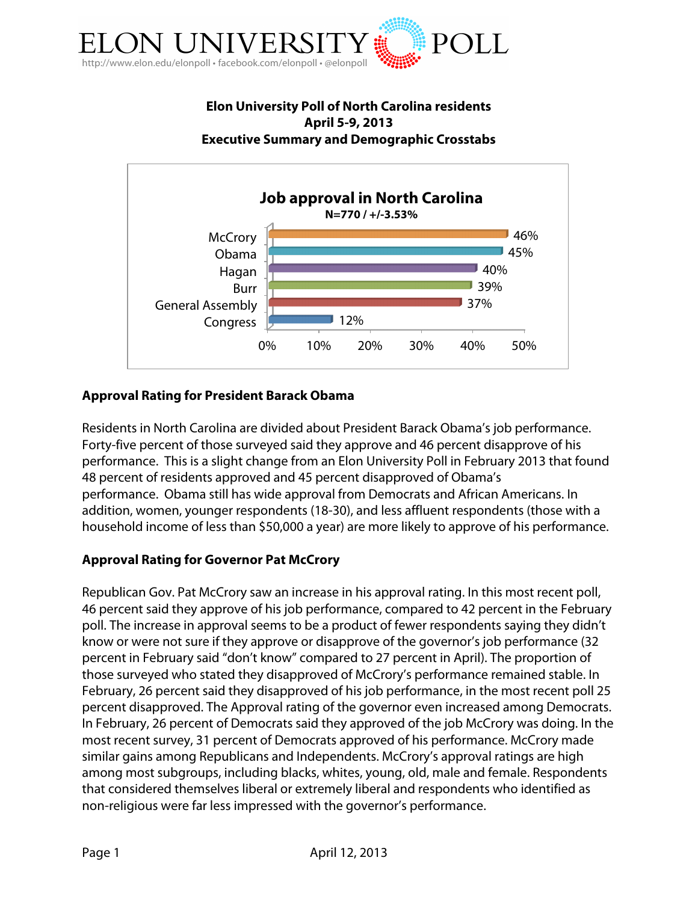

# **Elon University Poll of North Carolina residents April 5-9, 2013 Executive Summary and Demographic Crosstabs**



# **Approval Rating for President Barack Obama**

Residents in North Carolina are divided about President Barack Obama's job performance. Forty-five percent of those surveyed said they approve and 46 percent disapprove of his performance. This is a slight change from an Elon University Poll in February 2013 that found 48 percent of residents approved and 45 percent disapproved of Obama's performance. Obama still has wide approval from Democrats and African Americans. In addition, women, younger respondents (18-30), and less affluent respondents (those with a household income of less than \$50,000 a year) are more likely to approve of his performance.

# **Approval Rating for Governor Pat McCrory**

Republican Gov. Pat McCrory saw an increase in his approval rating. In this most recent poll, 46 percent said they approve of his job performance, compared to 42 percent in the February poll. The increase in approval seems to be a product of fewer respondents saying they didn't know or were not sure if they approve or disapprove of the governor's job performance (32 percent in February said "don't know" compared to 27 percent in April). The proportion of those surveyed who stated they disapproved of McCrory's performance remained stable. In February, 26 percent said they disapproved of his job performance, in the most recent poll 25 percent disapproved. The Approval rating of the governor even increased among Democrats. In February, 26 percent of Democrats said they approved of the job McCrory was doing. In the most recent survey, 31 percent of Democrats approved of his performance. McCrory made similar gains among Republicans and Independents. McCrory's approval ratings are high among most subgroups, including blacks, whites, young, old, male and female. Respondents that considered themselves liberal or extremely liberal and respondents who identified as non-religious were far less impressed with the governor's performance.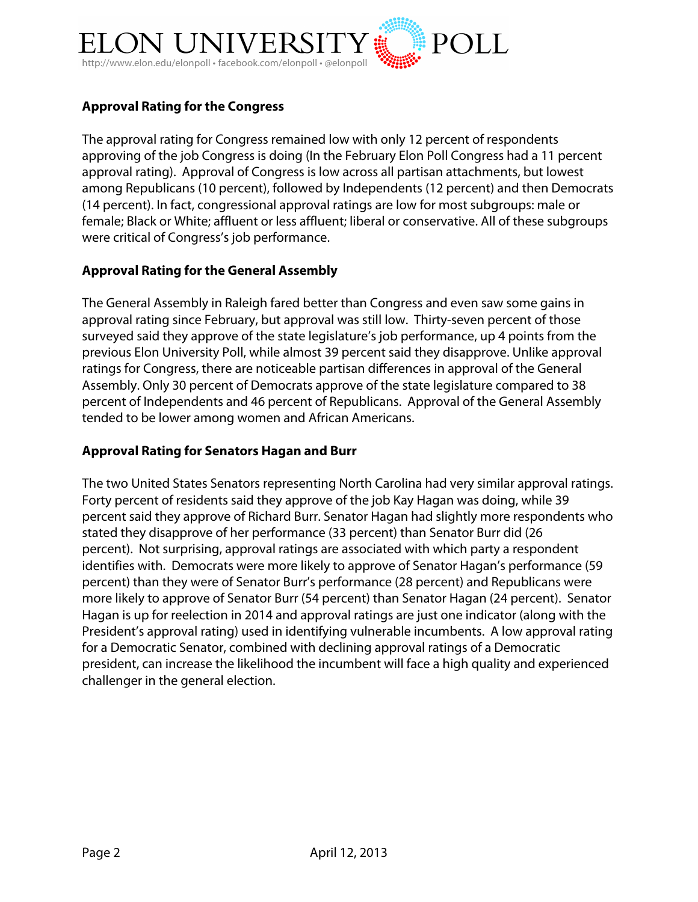

# **Approval Rating for the Congress**

The approval rating for Congress remained low with only 12 percent of respondents approving of the job Congress is doing (In the February Elon Poll Congress had a 11 percent approval rating). Approval of Congress is low across all partisan attachments, but lowest among Republicans (10 percent), followed by Independents (12 percent) and then Democrats (14 percent). In fact, congressional approval ratings are low for most subgroups: male or female; Black or White; affluent or less affluent; liberal or conservative. All of these subgroups were critical of Congress's job performance.

### **Approval Rating for the General Assembly**

The General Assembly in Raleigh fared better than Congress and even saw some gains in approval rating since February, but approval was still low. Thirty-seven percent of those surveyed said they approve of the state legislature's job performance, up 4 points from the previous Elon University Poll, while almost 39 percent said they disapprove. Unlike approval ratings for Congress, there are noticeable partisan differences in approval of the General Assembly. Only 30 percent of Democrats approve of the state legislature compared to 38 percent of Independents and 46 percent of Republicans. Approval of the General Assembly tended to be lower among women and African Americans.

### **Approval Rating for Senators Hagan and Burr**

The two United States Senators representing North Carolina had very similar approval ratings. Forty percent of residents said they approve of the job Kay Hagan was doing, while 39 percent said they approve of Richard Burr. Senator Hagan had slightly more respondents who stated they disapprove of her performance (33 percent) than Senator Burr did (26 percent). Not surprising, approval ratings are associated with which party a respondent identifies with. Democrats were more likely to approve of Senator Hagan's performance (59 percent) than they were of Senator Burr's performance (28 percent) and Republicans were more likely to approve of Senator Burr (54 percent) than Senator Hagan (24 percent). Senator Hagan is up for reelection in 2014 and approval ratings are just one indicator (along with the President's approval rating) used in identifying vulnerable incumbents. A low approval rating for a Democratic Senator, combined with declining approval ratings of a Democratic president, can increase the likelihood the incumbent will face a high quality and experienced challenger in the general election.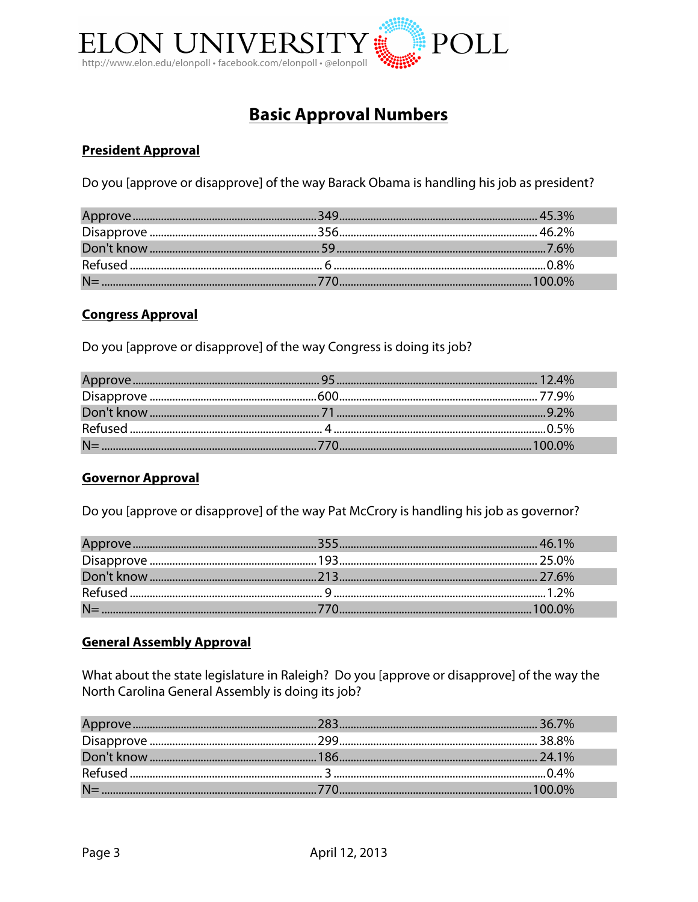

# **Basic Approval Numbers**

# **President Approval**

Do you [approve or disapprove] of the way Barack Obama is handling his job as president?

### **Congress Approval**

Do you [approve or disapprove] of the way Congress is doing its job?

### **Governor Approval**

Do you [approve or disapprove] of the way Pat McCrory is handling his job as governor?

### **General Assembly Approval**

What about the state legislature in Raleigh? Do you [approve or disapprove] of the way the North Carolina General Assembly is doing its job?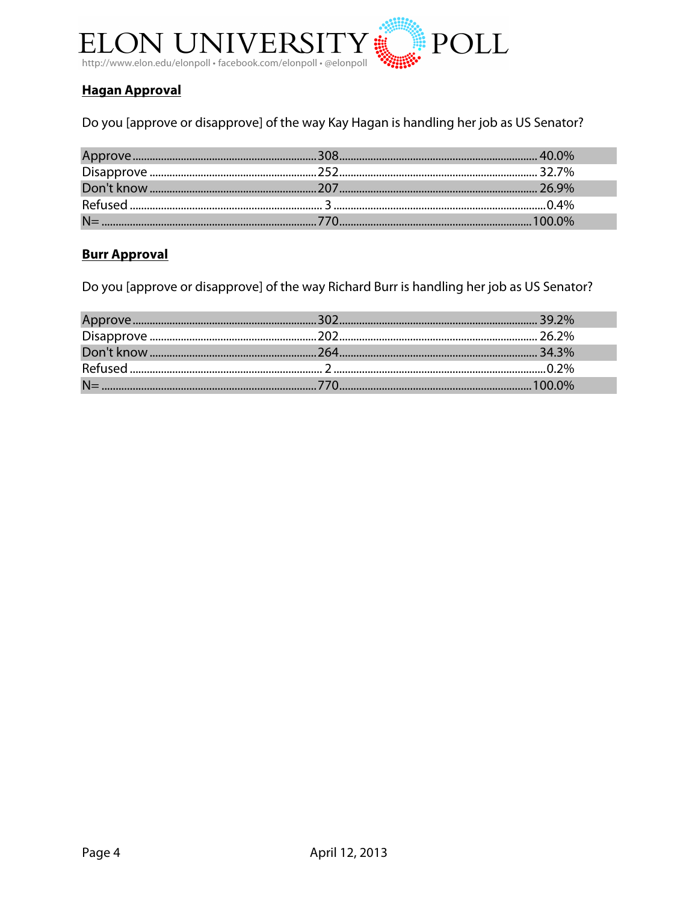

# **Hagan Approval**

Do you [approve or disapprove] of the way Kay Hagan is handling her job as US Senator?

# **Burr Approval**

Do you [approve or disapprove] of the way Richard Burr is handling her job as US Senator?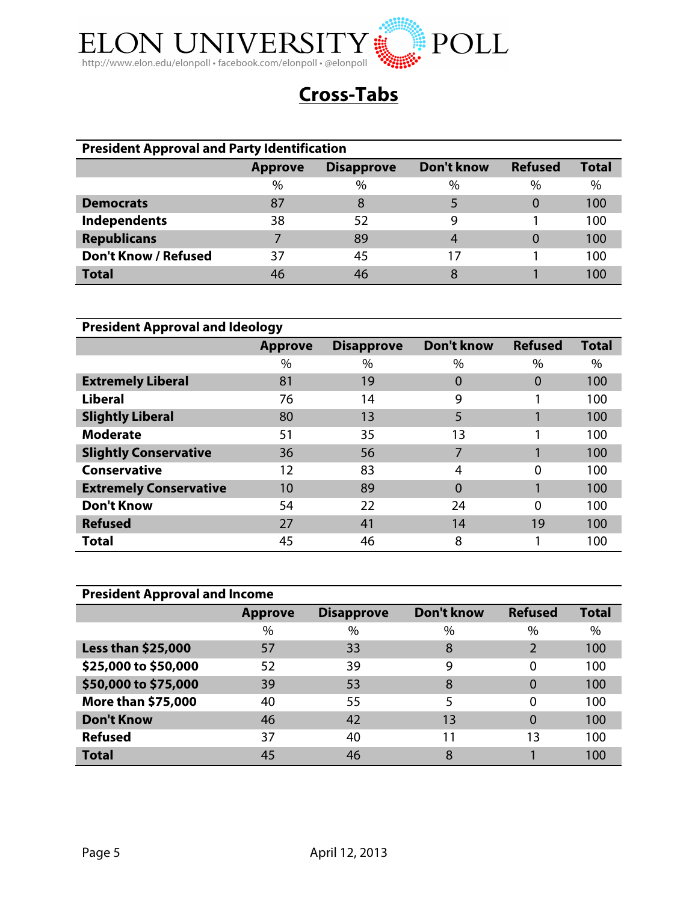

# **Cross-Tabs**

| <b>President Approval and Party Identification</b> |                                                                                     |      |      |      |     |  |
|----------------------------------------------------|-------------------------------------------------------------------------------------|------|------|------|-----|--|
|                                                    | Don't know<br><b>Total</b><br><b>Refused</b><br><b>Disapprove</b><br><b>Approve</b> |      |      |      |     |  |
|                                                    | $\%$                                                                                | $\%$ | $\%$ | $\%$ | %   |  |
| <b>Democrats</b>                                   | 87                                                                                  | 8    |      | 0    | 100 |  |
| <b>Independents</b>                                | 38                                                                                  | 52   | 9    |      | 100 |  |
| <b>Republicans</b>                                 |                                                                                     | 89   | 4    | 0    | 100 |  |
| <b>Don't Know / Refused</b>                        | 37                                                                                  | 45   | 17   |      | 100 |  |
| <b>Total</b>                                       | 46                                                                                  | 46   | 8    |      | 100 |  |

| <b>President Approval and Ideology</b> |                |                   |            |                |              |  |
|----------------------------------------|----------------|-------------------|------------|----------------|--------------|--|
|                                        | <b>Approve</b> | <b>Disapprove</b> | Don't know | <b>Refused</b> | <b>Total</b> |  |
|                                        | $\%$           | $\%$              | $\%$       | $\%$           | $\%$         |  |
| <b>Extremely Liberal</b>               | 81             | 19                | $\Omega$   | $\Omega$       | 100          |  |
| <b>Liberal</b>                         | 76             | 14                | 9          |                | 100          |  |
| <b>Slightly Liberal</b>                | 80             | 13                | 5          |                | 100          |  |
| <b>Moderate</b>                        | 51             | 35                | 13         |                | 100          |  |
| <b>Slightly Conservative</b>           | 36             | 56                | 7          |                | 100          |  |
| <b>Conservative</b>                    | 12             | 83                | 4          | 0              | 100          |  |
| <b>Extremely Conservative</b>          | $10 \,$        | 89                | 0          |                | 100          |  |
| <b>Don't Know</b>                      | 54             | 22                | 24         | 0              | 100          |  |
| <b>Refused</b>                         | 27             | 41                | 14         | 19             | 100          |  |
| Total                                  | 45             | 46                | 8          |                | 100          |  |

| <b>President Approval and Income</b> |                |                   |                   |                |              |  |
|--------------------------------------|----------------|-------------------|-------------------|----------------|--------------|--|
|                                      | <b>Approve</b> | <b>Disapprove</b> | <b>Don't know</b> | <b>Refused</b> | <b>Total</b> |  |
|                                      | $\%$           | $\%$              | $\%$              | %              | $\%$         |  |
| <b>Less than \$25,000</b>            | 57             | 33                | 8                 | $\overline{2}$ | 100          |  |
| \$25,000 to \$50,000                 | 52             | 39                | 9                 | 0              | 100          |  |
| \$50,000 to \$75,000                 | 39             | 53                | 8                 |                | 100          |  |
| <b>More than \$75,000</b>            | 40             | 55                | 5                 | 0              | 100          |  |
| <b>Don't Know</b>                    | 46             | 42                | 13                | 0              | 100          |  |
| <b>Refused</b>                       | 37             | 40                | 11                | 13             | 100          |  |
| <b>Total</b>                         | 45             | 46                | 8                 |                | 100          |  |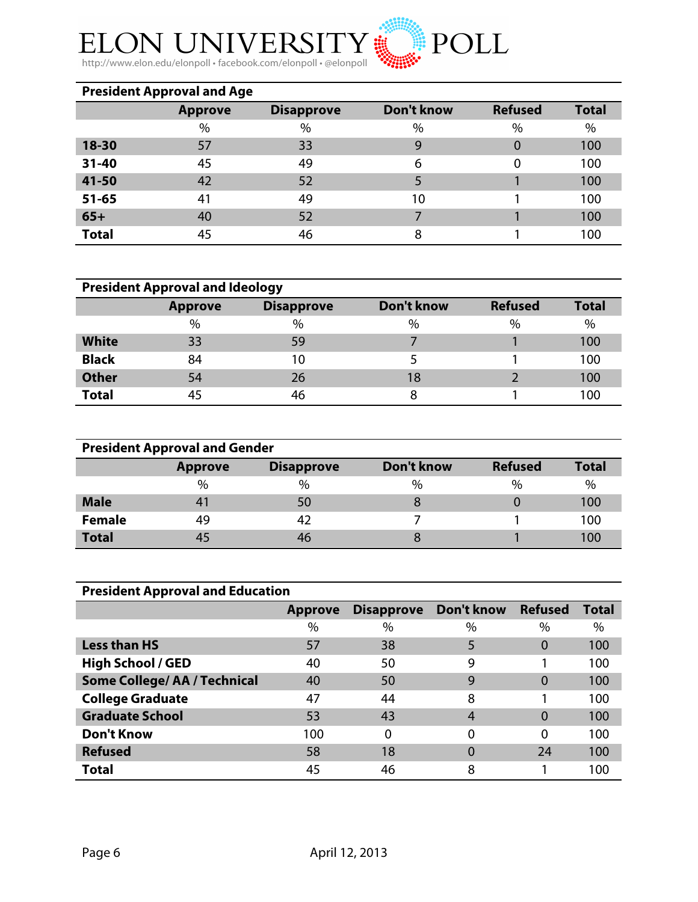

**ELON UNIVERSITY** http://www.elon.edu/elonpoll • facebook.com/elonpoll • @elonpoll

| <b>President Approval and Age</b> |                |                   |                   |                |              |  |  |
|-----------------------------------|----------------|-------------------|-------------------|----------------|--------------|--|--|
|                                   | <b>Approve</b> | <b>Disapprove</b> | <b>Don't know</b> | <b>Refused</b> | <b>Total</b> |  |  |
|                                   | $\%$           | $\%$              | $\%$              | $\%$           | $\%$         |  |  |
| 18-30                             | 57             | 33                | 9                 | 0              | 100          |  |  |
| $31 - 40$                         | 45             | 49                | 6                 | 0              | 100          |  |  |
| 41-50                             | 42             | 52                | 5                 |                | 100          |  |  |
| $51 - 65$                         | 41             | 49                | 10                |                | 100          |  |  |
| $65+$                             | 40             | 52                |                   |                | 100          |  |  |
| <b>Total</b>                      | 45             | 46                | 8                 |                | 100          |  |  |

| <b>President Approval and Ideology</b> |                |                   |            |                |              |  |  |
|----------------------------------------|----------------|-------------------|------------|----------------|--------------|--|--|
|                                        | <b>Approve</b> | <b>Disapprove</b> | Don't know | <b>Refused</b> | <b>Total</b> |  |  |
|                                        | $\%$           | $\%$              | $\%$       | $\%$           | $\%$         |  |  |
| <b>White</b>                           | 33             | 59                |            |                | 100          |  |  |
| <b>Black</b>                           | 84             | 10                |            |                | 100          |  |  |
| <b>Other</b>                           | 54             | 26                | 18         |                | 100          |  |  |
| <b>Total</b>                           | 45             | 46                | 8          |                | 100          |  |  |

| <b>President Approval and Gender</b> |                |                   |               |                |              |  |  |
|--------------------------------------|----------------|-------------------|---------------|----------------|--------------|--|--|
|                                      | <b>Approve</b> | <b>Disapprove</b> | Don't know    | <b>Refused</b> | <b>Total</b> |  |  |
|                                      | %              | $\%$              | $\frac{0}{0}$ | $\%$           | $\%$         |  |  |
| <b>Male</b>                          |                | 50                |               |                | 100          |  |  |
| <b>Female</b>                        | 49             |                   |               |                | 100          |  |  |
| <b>Total</b>                         |                |                   |               |                | 100          |  |  |

| <b>President Approval and Education</b> |                |                   |            |                |              |  |  |  |  |
|-----------------------------------------|----------------|-------------------|------------|----------------|--------------|--|--|--|--|
|                                         | <b>Approve</b> | <b>Disapprove</b> | Don't know | <b>Refused</b> | <b>Total</b> |  |  |  |  |
|                                         | $\%$           | $\%$              | $\%$       | $\%$           | $\%$         |  |  |  |  |
| <b>Less than HS</b>                     | 57             | 38                | 5          | $\Omega$       | 100          |  |  |  |  |
| <b>High School / GED</b>                | 40             | 50                | 9          |                | 100          |  |  |  |  |
| <b>Some College/ AA / Technical</b>     | 40             | 50                | 9          | $\Omega$       | 100          |  |  |  |  |
| <b>College Graduate</b>                 | 47             | 44                | 8          |                | 100          |  |  |  |  |
| <b>Graduate School</b>                  | 53             | 43                | 4          | $\Omega$       | 100          |  |  |  |  |
| <b>Don't Know</b>                       | 100            | 0                 | $\Omega$   | $\Omega$       | 100          |  |  |  |  |
| <b>Refused</b>                          | 58             | 18                | $\Omega$   | 24             | 100          |  |  |  |  |
| Total                                   | 45             | 46                | 8          |                | 100          |  |  |  |  |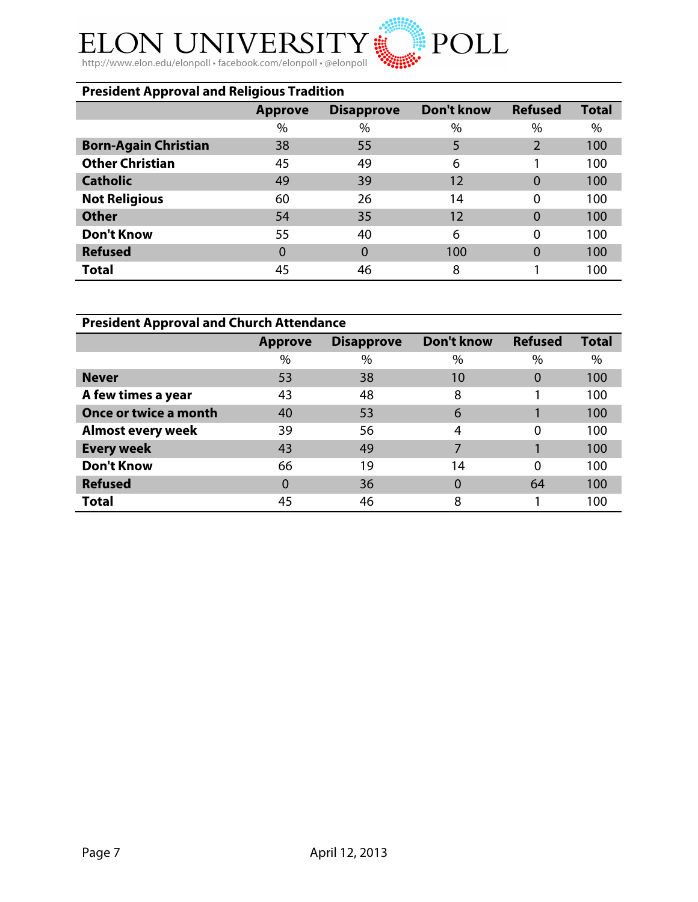# **ELON UNIVERSITY**

http://www.elon.edu/elonpoll • facebook.com/elonpoll • @elonpoll

# **President Approval and Religious Tradition Approve Disapprove Don't know Refused Total** % % % % % **Born-Again Christian** 38 55 5 5 2 100 **Other Christian 45 49 6** 1 **100 Catholic** 100 49 39 12 0 100 **Not Religious** 60 26 14 0 100 **Other 54 54 55 12 0 100 Don't Know** 55 40 6 0 100 **Refused** 100 0 0 100 0 100 0 100 **Total** 100

POLL

| <b>President Approval and Church Attendance</b> |                |                   |                   |                |              |  |  |  |  |
|-------------------------------------------------|----------------|-------------------|-------------------|----------------|--------------|--|--|--|--|
|                                                 | <b>Approve</b> | <b>Disapprove</b> | <b>Don't know</b> | <b>Refused</b> | <b>Total</b> |  |  |  |  |
|                                                 | $\%$           | $\%$              | %                 | $\%$           | $\%$         |  |  |  |  |
| <b>Never</b>                                    | 53             | 38                | 10                | $\Omega$       | 100          |  |  |  |  |
| A few times a year                              | 43             | 48                | 8                 |                | 100          |  |  |  |  |
| Once or twice a month                           | 40             | 53                | 6                 |                | 100          |  |  |  |  |
| <b>Almost every week</b>                        | 39             | 56                | 4                 | 0              | 100          |  |  |  |  |
| <b>Every week</b>                               | 43             | 49                |                   |                | 100          |  |  |  |  |
| <b>Don't Know</b>                               | 66             | 19                | 14                | 0              | 100          |  |  |  |  |
| <b>Refused</b>                                  | $\Omega$       | 36                | $\Omega$          | 64             | 100          |  |  |  |  |
| <b>Total</b>                                    | 45             | 46                | 8                 |                | 100          |  |  |  |  |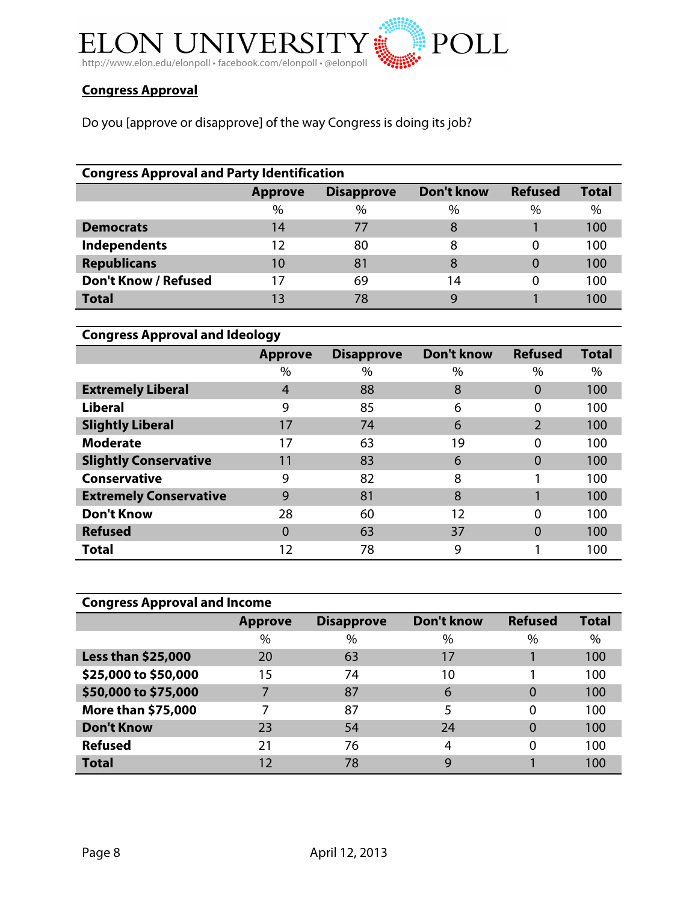

# **Congress Approval**

Do you [approve or disapprove] of the way Congress is doing its job?

| <b>Congress Approval and Party Identification</b> |                |                   |            |                |              |  |  |  |  |
|---------------------------------------------------|----------------|-------------------|------------|----------------|--------------|--|--|--|--|
|                                                   | <b>Approve</b> | <b>Disapprove</b> | Don't know | <b>Refused</b> | <b>Total</b> |  |  |  |  |
|                                                   | $\%$           | $\%$              | $\%$       | $\frac{0}{0}$  | $\%$         |  |  |  |  |
| <b>Democrats</b>                                  | 14             | 77                | 8          |                | 100          |  |  |  |  |
| Independents                                      | 12             | 80                | 8          | 0              | 100          |  |  |  |  |
| <b>Republicans</b>                                | 10             | 81                | 8          | 0              | 100          |  |  |  |  |
| <b>Don't Know / Refused</b>                       | 17             | 69                | 14         | 0              | 100          |  |  |  |  |
| <b>Total</b>                                      | 13             | 78                | g          |                | 100          |  |  |  |  |

| <b>Congress Approval and Ideology</b> |                |                   |                   |                |              |  |  |  |  |
|---------------------------------------|----------------|-------------------|-------------------|----------------|--------------|--|--|--|--|
|                                       | <b>Approve</b> | <b>Disapprove</b> | <b>Don't know</b> | <b>Refused</b> | <b>Total</b> |  |  |  |  |
|                                       | %              | $\%$              | $\%$              | $\%$           | $\%$         |  |  |  |  |
| <b>Extremely Liberal</b>              | $\overline{4}$ | 88                | 8                 | $\Omega$       | 100          |  |  |  |  |
| <b>Liberal</b>                        | 9              | 85                | 6                 | 0              | 100          |  |  |  |  |
| <b>Slightly Liberal</b>               | 17             | 74                | 6                 | $\overline{2}$ | 100          |  |  |  |  |
| <b>Moderate</b>                       | 17             | 63                | 19                | $\Omega$       | 100          |  |  |  |  |
| <b>Slightly Conservative</b>          | 11             | 83                | 6                 | $\Omega$       | 100          |  |  |  |  |
| <b>Conservative</b>                   | 9              | 82                | 8                 |                | 100          |  |  |  |  |
| <b>Extremely Conservative</b>         | 9              | 81                | 8                 |                | 100          |  |  |  |  |
| <b>Don't Know</b>                     | 28             | 60                | 12                | $\Omega$       | 100          |  |  |  |  |
| <b>Refused</b>                        | 0              | 63                | 37                | $\Omega$       | 100          |  |  |  |  |
| <b>Total</b>                          | 12             | 78                | 9                 |                | 100          |  |  |  |  |

| <b>Congress Approval and Income</b> |                |                   |                   |                |              |  |  |  |  |
|-------------------------------------|----------------|-------------------|-------------------|----------------|--------------|--|--|--|--|
|                                     | <b>Approve</b> | <b>Disapprove</b> | <b>Don't know</b> | <b>Refused</b> | <b>Total</b> |  |  |  |  |
|                                     | $\%$           | $\%$              | $\%$              | $\%$           | $\%$         |  |  |  |  |
| <b>Less than \$25,000</b>           | 20             | 63                | 17                |                | 100          |  |  |  |  |
| \$25,000 to \$50,000                | 15             | 74                | 10                |                | 100          |  |  |  |  |
| \$50,000 to \$75,000                |                | 87                | 6                 | 0              | 100          |  |  |  |  |
| More than \$75,000                  |                | 87                | 5                 | 0              | 100          |  |  |  |  |
| <b>Don't Know</b>                   | 23             | 54                | 24                | 0              | 100          |  |  |  |  |
| <b>Refused</b>                      | 21             | 76                | 4                 | 0              | 100          |  |  |  |  |
| <b>Total</b>                        | 12             | 78                | 9                 |                | 100          |  |  |  |  |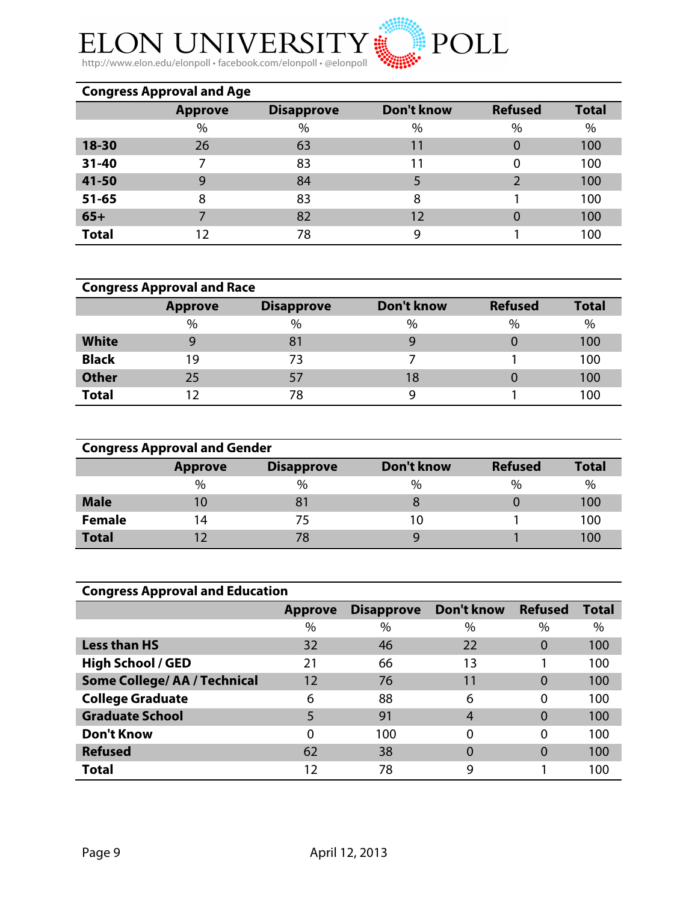

ELON UNIVERSITY http://www.elon.edu/elonpoll • facebook.com/elonpoll • @elonpoll

| <b>Congress Approval and Age</b> |                |                   |            |                |              |  |  |  |  |
|----------------------------------|----------------|-------------------|------------|----------------|--------------|--|--|--|--|
|                                  | <b>Approve</b> | <b>Disapprove</b> | Don't know | <b>Refused</b> | <b>Total</b> |  |  |  |  |
|                                  | $\%$           | $\%$              | $\%$       | $\%$           | $\%$         |  |  |  |  |
| 18-30                            | 26             | 63                | 11         | $\Omega$       | 100          |  |  |  |  |
| $31 - 40$                        |                | 83                | 11         | 0              | 100          |  |  |  |  |
| 41-50                            | 9              | 84                | 5          |                | 100          |  |  |  |  |
| $51 - 65$                        | 8              | 83                | 8          |                | 100          |  |  |  |  |
| $65+$                            |                | 82                | 12         | 0              | 100          |  |  |  |  |
| <b>Total</b>                     | 12             | 78                | 9          |                | 100          |  |  |  |  |

|              | <b>Congress Approval and Race</b> |                   |            |                |              |
|--------------|-----------------------------------|-------------------|------------|----------------|--------------|
|              | <b>Approve</b>                    | <b>Disapprove</b> | Don't know | <b>Refused</b> | <b>Total</b> |
|              | $\%$                              | %                 | $\%$       | $\%$           | $\%$         |
| <b>White</b> | q                                 | 81                |            |                | 100          |
| <b>Black</b> | 19                                | 73                |            |                | 100          |
| <b>Other</b> | 25                                | 57                | 18         |                | 100          |
| <b>Total</b> | 12                                | 78                |            |                | 100          |

| <b>Congress Approval and Gender</b> |                |                   |            |                |              |  |  |  |  |
|-------------------------------------|----------------|-------------------|------------|----------------|--------------|--|--|--|--|
|                                     | <b>Approve</b> | <b>Disapprove</b> | Don't know | <b>Refused</b> | <b>Total</b> |  |  |  |  |
|                                     | $\%$           | $\%$              | $\%$       | $\%$           | $\%$         |  |  |  |  |
| <b>Male</b>                         | 10             | 8 <sup>1</sup>    |            |                | 100          |  |  |  |  |
| <b>Female</b>                       | 14             | 75                | 10         |                | 100          |  |  |  |  |
| <b>Total</b>                        |                | 78                | g          |                | 100          |  |  |  |  |

| <b>Congress Approval and Education</b> |                |                   |               |                |              |  |  |  |  |
|----------------------------------------|----------------|-------------------|---------------|----------------|--------------|--|--|--|--|
|                                        | <b>Approve</b> | <b>Disapprove</b> | Don't know    | <b>Refused</b> | <b>Total</b> |  |  |  |  |
|                                        | $\%$           | $\%$              | $\frac{0}{0}$ | $\frac{0}{0}$  | $\%$         |  |  |  |  |
| <b>Less than HS</b>                    | 32             | 46                | 22            | $\Omega$       | 100          |  |  |  |  |
| <b>High School / GED</b>               | 21             | 66                | 13            |                | 100          |  |  |  |  |
| <b>Some College/ AA / Technical</b>    | 12             | 76                | 11            | $\Omega$       | 100          |  |  |  |  |
| <b>College Graduate</b>                | 6              | 88                | 6             | $\Omega$       | 100          |  |  |  |  |
| <b>Graduate School</b>                 | 5              | 91                | 4             | $\Omega$       | 100          |  |  |  |  |
| <b>Don't Know</b>                      | 0              | 100               | $\Omega$      | $\Omega$       | 100          |  |  |  |  |
| <b>Refused</b>                         | 62             | 38                | $\Omega$      | $\Omega$       | 100          |  |  |  |  |
| <b>Total</b>                           | 12             | 78                | 9             |                | 100          |  |  |  |  |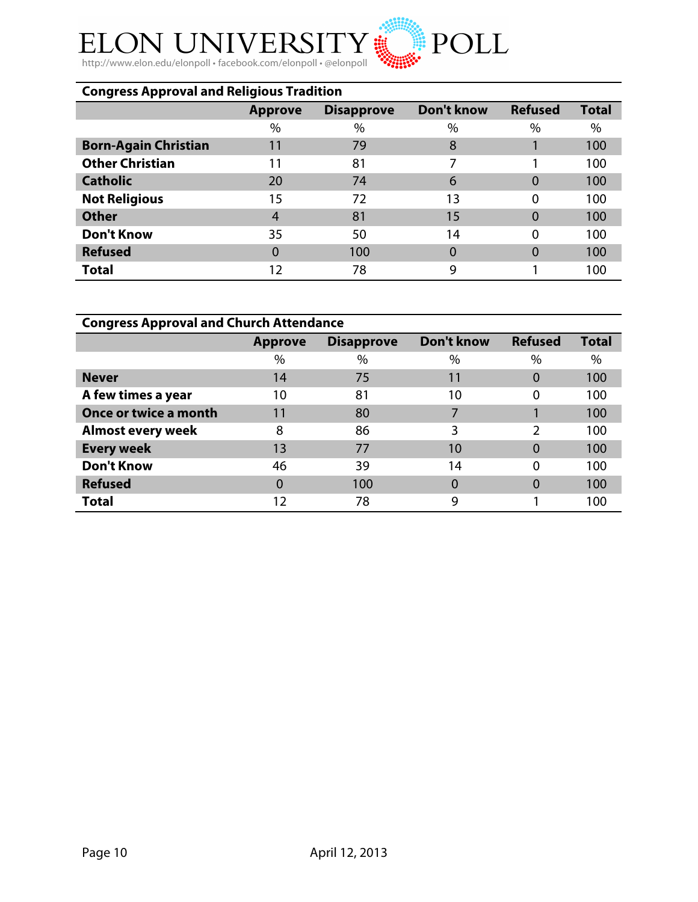#### ELON UNIVERS  ${\rm Y}$  :  $\text{SIT}$

http://www.elon.edu/elonpoll • facebook.com/elonpoll • @elonpoll

| <b>Congress Approval and Religious Tradition</b> |                |                   |                   |                |              |  |  |  |  |
|--------------------------------------------------|----------------|-------------------|-------------------|----------------|--------------|--|--|--|--|
|                                                  | <b>Approve</b> | <b>Disapprove</b> | <b>Don't know</b> | <b>Refused</b> | <b>Total</b> |  |  |  |  |
|                                                  | $\%$           | $\%$              | $\%$              | $\%$           | $\%$         |  |  |  |  |
| <b>Born-Again Christian</b>                      | 11             | 79                | 8                 |                | 100          |  |  |  |  |
| <b>Other Christian</b>                           | 11             | 81                | 7                 |                | 100          |  |  |  |  |
| <b>Catholic</b>                                  | 20             | 74                | 6                 | 0              | 100          |  |  |  |  |
| <b>Not Religious</b>                             | 15             | 72                | 13                | $\Omega$       | 100          |  |  |  |  |
| <b>Other</b>                                     | 4              | 81                | 15                | 0              | 100          |  |  |  |  |
| <b>Don't Know</b>                                | 35             | 50                | 14                | $\Omega$       | 100          |  |  |  |  |
| <b>Refused</b>                                   | 0              | 100               |                   | 0              | 100          |  |  |  |  |
| <b>Total</b>                                     | 12             | 78                | 9                 |                | 100          |  |  |  |  |

POLL

| <b>Congress Approval and Church Attendance</b> |                |                   |                   |                |              |  |  |  |  |
|------------------------------------------------|----------------|-------------------|-------------------|----------------|--------------|--|--|--|--|
|                                                | <b>Approve</b> | <b>Disapprove</b> | <b>Don't know</b> | <b>Refused</b> | <b>Total</b> |  |  |  |  |
|                                                | $\frac{0}{0}$  | %                 | $\%$              | $\%$           | $\%$         |  |  |  |  |
| <b>Never</b>                                   | 14             | 75                | 11                | 0              | 100          |  |  |  |  |
| A few times a year                             | 10             | 81                | 10                | $\Omega$       | 100          |  |  |  |  |
| Once or twice a month                          | 11             | 80                |                   |                | 100          |  |  |  |  |
| <b>Almost every week</b>                       | 8              | 86                | 3                 | C              | 100          |  |  |  |  |
| <b>Every week</b>                              | 13             | 77                | 10                | $\Omega$       | 100          |  |  |  |  |
| <b>Don't Know</b>                              | 46             | 39                | 14                | 0              | 100          |  |  |  |  |
| <b>Refused</b>                                 | 0              | 100               |                   | 0              | 100          |  |  |  |  |
| <b>Total</b>                                   | 12             | 78                | 9                 |                | 100          |  |  |  |  |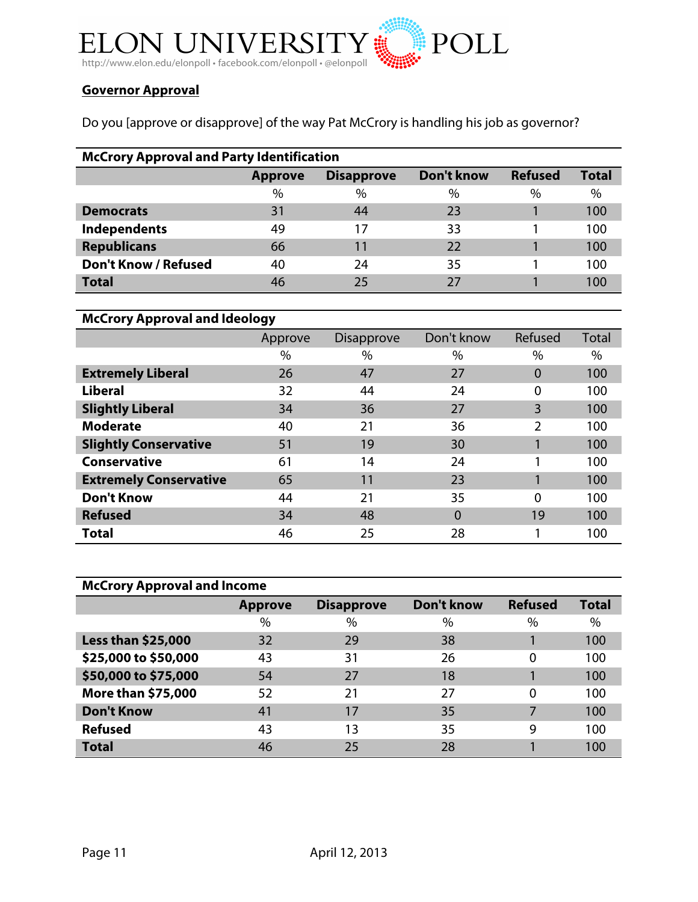

# **Governor Approval**

Do you [approve or disapprove] of the way Pat McCrory is handling his job as governor?

| <b>McCrory Approval and Party Identification</b> |                |                   |            |                |              |  |  |  |  |
|--------------------------------------------------|----------------|-------------------|------------|----------------|--------------|--|--|--|--|
|                                                  | <b>Approve</b> | <b>Disapprove</b> | Don't know | <b>Refused</b> | <b>Total</b> |  |  |  |  |
|                                                  | $\%$           | $\%$              | $\%$       | $\%$           | $\%$         |  |  |  |  |
| <b>Democrats</b>                                 | 31             | 44                | 23         |                | 100          |  |  |  |  |
| <b>Independents</b>                              | 49             | 17                | 33         |                | 100          |  |  |  |  |
| <b>Republicans</b>                               | 66             | 11                | 22         |                | 100          |  |  |  |  |
| <b>Don't Know / Refused</b>                      | 40             | 24                | 35         |                | 100          |  |  |  |  |
| <b>Total</b>                                     | 46             | 25                |            |                | 100          |  |  |  |  |

| <b>McCrory Approval and Ideology</b> |         |                   |            |          |       |  |  |  |
|--------------------------------------|---------|-------------------|------------|----------|-------|--|--|--|
|                                      | Approve | <b>Disapprove</b> | Don't know | Refused  | Total |  |  |  |
|                                      | %       | $\%$              | $\%$       | %        | $\%$  |  |  |  |
| <b>Extremely Liberal</b>             | 26      | 47                | 27         | $\Omega$ | 100   |  |  |  |
| <b>Liberal</b>                       | 32      | 44                | 24         | 0        | 100   |  |  |  |
| <b>Slightly Liberal</b>              | 34      | 36                | 27         | 3        | 100   |  |  |  |
| <b>Moderate</b>                      | 40      | 21                | 36         | 2        | 100   |  |  |  |
| <b>Slightly Conservative</b>         | 51      | 19                | 30         |          | 100   |  |  |  |
| <b>Conservative</b>                  | 61      | 14                | 24         |          | 100   |  |  |  |
| <b>Extremely Conservative</b>        | 65      | 11                | 23         |          | 100   |  |  |  |
| <b>Don't Know</b>                    | 44      | 21                | 35         | $\Omega$ | 100   |  |  |  |
| <b>Refused</b>                       | 34      | 48                | 0          | 19       | 100   |  |  |  |
| <b>Total</b>                         | 46      | 25                | 28         |          | 100   |  |  |  |

| <b>McCrory Approval and Income</b> |                |                   |            |                |              |  |  |  |  |
|------------------------------------|----------------|-------------------|------------|----------------|--------------|--|--|--|--|
|                                    | <b>Approve</b> | <b>Disapprove</b> | Don't know | <b>Refused</b> | <b>Total</b> |  |  |  |  |
|                                    | $\%$           | $\%$              | $\%$       | $\%$           | $\%$         |  |  |  |  |
| <b>Less than \$25,000</b>          | 32             | 29                | 38         |                | 100          |  |  |  |  |
| \$25,000 to \$50,000               | 43             | 31                | 26         | 0              | 100          |  |  |  |  |
| \$50,000 to \$75,000               | 54             | 27                | 18         |                | 100          |  |  |  |  |
| <b>More than \$75,000</b>          | 52             | 21                | 27         | $\Omega$       | 100          |  |  |  |  |
| <b>Don't Know</b>                  | 41             | 17                | 35         |                | 100          |  |  |  |  |
| <b>Refused</b>                     | 43             | 13                | 35         | 9              | 100          |  |  |  |  |
| <b>Total</b>                       | 46             | 25                | 28         |                | 100          |  |  |  |  |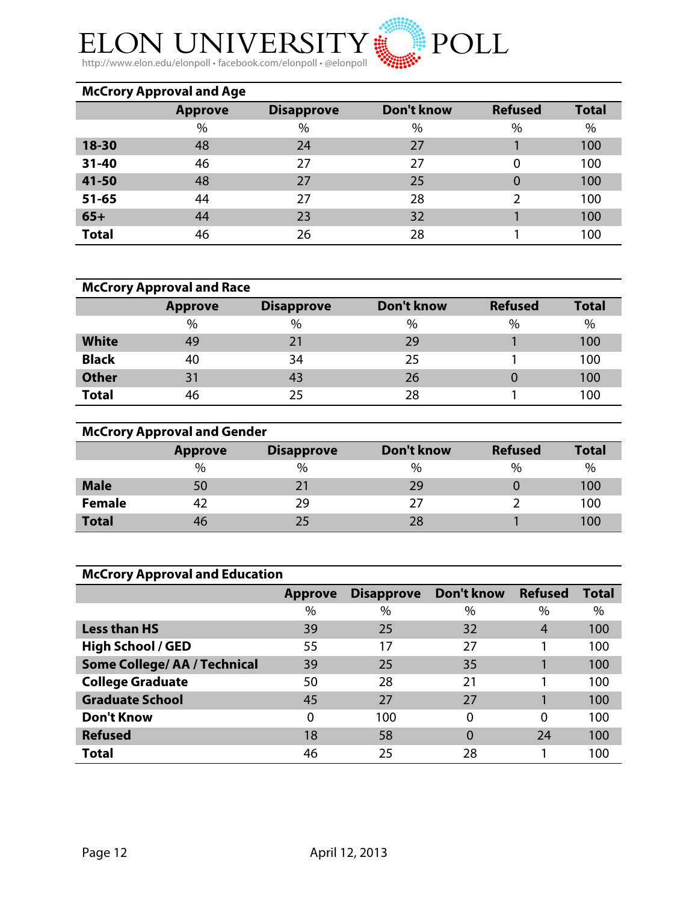

http://www.elon.edu/elonpoll • facebook.com/elonpoll • @elonpoll

|              | <b>McCrory Approval and Age</b> |                   |            |                |              |
|--------------|---------------------------------|-------------------|------------|----------------|--------------|
|              | <b>Approve</b>                  | <b>Disapprove</b> | Don't know | <b>Refused</b> | <b>Total</b> |
|              | $\%$                            | $\%$              | $\%$       | $\%$           | $\%$         |
| 18-30        | 48                              | 24                | 27         |                | 100          |
| $31 - 40$    | 46                              | 27                | 27         | 0              | 100          |
| 41-50        | 48                              | 27                | 25         | $\Omega$       | 100          |
| $51 - 65$    | 44                              | 27                | 28         | 2              | 100          |
| $65+$        | 44                              | 23                | 32         |                | 100          |
| <b>Total</b> | 46                              | 26                | 28         |                | 100          |

|              | <b>McCrory Approval and Race</b> |                   |            |                |              |
|--------------|----------------------------------|-------------------|------------|----------------|--------------|
|              | <b>Approve</b>                   | <b>Disapprove</b> | Don't know | <b>Refused</b> | <b>Total</b> |
|              | $\%$                             | $\%$              | $\%$       | $\%$           | $\%$         |
| <b>White</b> | 49                               | 21                | 29         |                | 100          |
| <b>Black</b> | 40                               | 34                | 25         |                | 100          |
| <b>Other</b> | 31                               | 43                | 26         |                | 100          |
| <b>Total</b> | 46                               | 25                | 28         |                | 100          |

| <b>McCrory Approval and Gender</b> |                |                   |            |                |              |  |  |  |  |
|------------------------------------|----------------|-------------------|------------|----------------|--------------|--|--|--|--|
|                                    | <b>Approve</b> | <b>Disapprove</b> | Don't know | <b>Refused</b> | <b>Total</b> |  |  |  |  |
|                                    | $\%$           | $\%$              | $\%$       | $\%$           | %            |  |  |  |  |
| <b>Male</b>                        | 50             | 21                | 29         |                | 100          |  |  |  |  |
| <b>Female</b>                      | 42             | 29                | 27         |                | 100          |  |  |  |  |
| <b>Total</b>                       | 46             | 25                | 28         |                | 100          |  |  |  |  |

| <b>McCrory Approval and Education</b> |                |                   |               |                |              |  |  |  |
|---------------------------------------|----------------|-------------------|---------------|----------------|--------------|--|--|--|
|                                       | <b>Approve</b> | <b>Disapprove</b> | Don't know    | <b>Refused</b> | <b>Total</b> |  |  |  |
|                                       | $\frac{0}{0}$  | $\%$              | $\frac{0}{0}$ | $\%$           | %            |  |  |  |
| <b>Less than HS</b>                   | 39             | 25                | 32            | 4              | 100          |  |  |  |
| <b>High School / GED</b>              | 55             | 17                | 27            |                | 100          |  |  |  |
| <b>Some College/ AA / Technical</b>   | 39             | 25                | 35            |                | 100          |  |  |  |
| <b>College Graduate</b>               | 50             | 28                | 21            |                | 100          |  |  |  |
| <b>Graduate School</b>                | 45             | 27                | 27            |                | 100          |  |  |  |
| <b>Don't Know</b>                     | $\Omega$       | 100               | 0             | $\Omega$       | 100          |  |  |  |
| <b>Refused</b>                        | 18             | 58                | $\Omega$      | 24             | 100          |  |  |  |
| <b>Total</b>                          | 46             | 25                | 28            |                | 100          |  |  |  |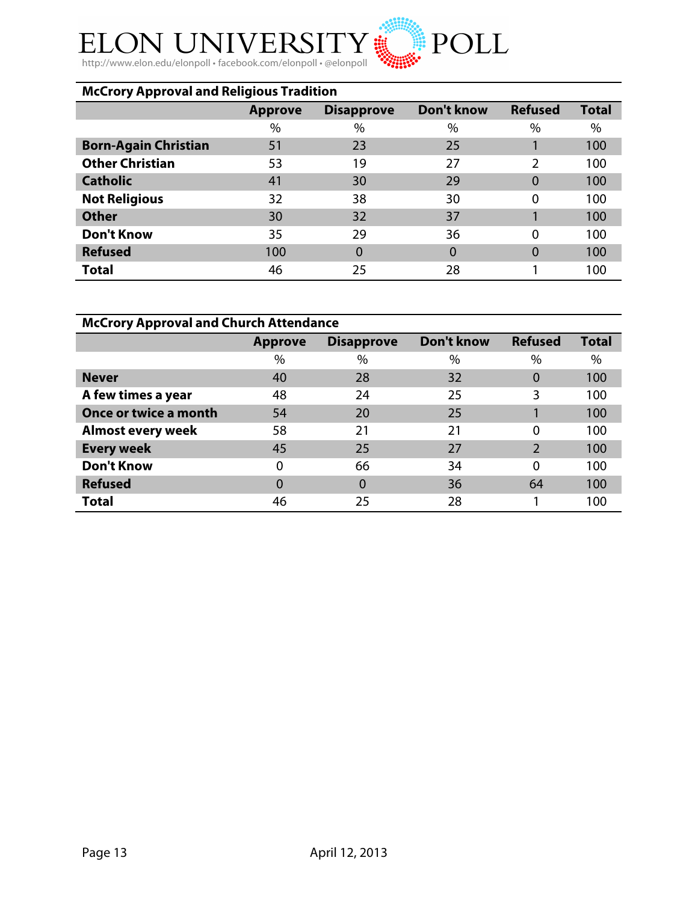# ${\rm Y}$  iii ELON UNIVERS

http://www.elon.edu/elonpoll • facebook.com/elonpoll • @elonpoll

| <b>McCrory Approval and Religious Tradition</b> |                |                   |                   |                |              |  |  |  |
|-------------------------------------------------|----------------|-------------------|-------------------|----------------|--------------|--|--|--|
|                                                 | <b>Approve</b> | <b>Disapprove</b> | <b>Don't know</b> | <b>Refused</b> | <b>Total</b> |  |  |  |
|                                                 | %              | %                 | $\%$              | $\%$           | %            |  |  |  |
| <b>Born-Again Christian</b>                     | 51             | 23                | 25                |                | 100          |  |  |  |
| <b>Other Christian</b>                          | 53             | 19                | 27                | 2              | 100          |  |  |  |
| <b>Catholic</b>                                 | 41             | 30                | 29                | $\Omega$       | 100          |  |  |  |
| <b>Not Religious</b>                            | 32             | 38                | 30                | 0              | 100          |  |  |  |
| <b>Other</b>                                    | 30             | 32                | 37                |                | 100          |  |  |  |
| <b>Don't Know</b>                               | 35             | 29                | 36                | 0              | 100          |  |  |  |
| <b>Refused</b>                                  | 100            | $\overline{0}$    | 0                 | $\Omega$       | 100          |  |  |  |
| <b>Total</b>                                    | 46             | 25                | 28                |                | 100          |  |  |  |

POLL

| <b>McCrory Approval and Church Attendance</b> |                |                   |            |                |              |  |  |  |
|-----------------------------------------------|----------------|-------------------|------------|----------------|--------------|--|--|--|
|                                               | <b>Approve</b> | <b>Disapprove</b> | Don't know | <b>Refused</b> | <b>Total</b> |  |  |  |
|                                               | $\frac{0}{0}$  | %                 | $\%$       | $\%$           | $\%$         |  |  |  |
| <b>Never</b>                                  | 40             | 28                | 32         | 0              | 100          |  |  |  |
| A few times a year                            | 48             | 24                | 25         | 3              | 100          |  |  |  |
| Once or twice a month                         | 54             | 20                | 25         |                | 100          |  |  |  |
| <b>Almost every week</b>                      | 58             | 21                | 21         | $\Omega$       | 100          |  |  |  |
| <b>Every week</b>                             | 45             | 25                | 27         | っ              | 100          |  |  |  |
| <b>Don't Know</b>                             | 0              | 66                | 34         | $\Omega$       | 100          |  |  |  |
| <b>Refused</b>                                | 0              | $\Omega$          | 36         | 64             | 100          |  |  |  |
| <b>Total</b>                                  | 46             | 25                | 28         |                | 100          |  |  |  |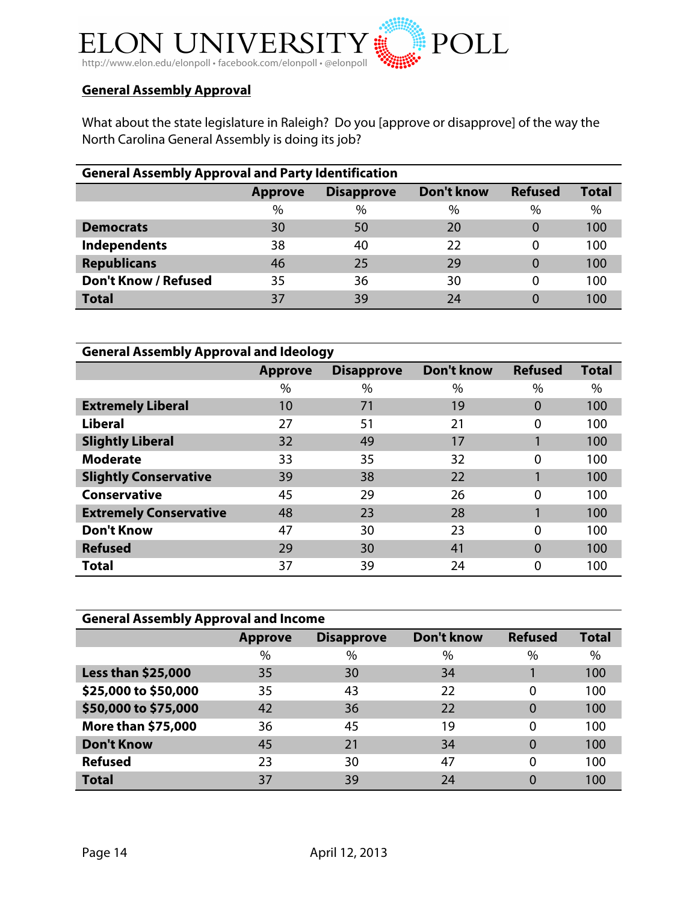

# **General Assembly Approval**

What about the state legislature in Raleigh? Do you [approve or disapprove] of the way the North Carolina General Assembly is doing its job?

| <b>General Assembly Approval and Party Identification</b> |                |                   |            |                |              |  |  |  |
|-----------------------------------------------------------|----------------|-------------------|------------|----------------|--------------|--|--|--|
|                                                           | <b>Approve</b> | <b>Disapprove</b> | Don't know | <b>Refused</b> | <b>Total</b> |  |  |  |
|                                                           | $\%$           | $\%$              | $\%$       | $\%$           | $\%$         |  |  |  |
| <b>Democrats</b>                                          | 30             | 50                | 20         | $\Omega$       | 100          |  |  |  |
| Independents                                              | 38             | 40                | 22         | 0              | 100          |  |  |  |
| <b>Republicans</b>                                        | 46             | 25                | 29         | $\Omega$       | 100          |  |  |  |
| <b>Don't Know / Refused</b>                               | 35             | 36                | 30         | 0              | 100          |  |  |  |
| <b>Total</b>                                              | 37             | 39                | 24         |                | 100          |  |  |  |

| <b>General Assembly Approval and Ideology</b> |                |                   |                   |                |              |  |  |  |
|-----------------------------------------------|----------------|-------------------|-------------------|----------------|--------------|--|--|--|
|                                               | <b>Approve</b> | <b>Disapprove</b> | <b>Don't know</b> | <b>Refused</b> | <b>Total</b> |  |  |  |
|                                               | $\%$           | $\%$              | $\%$              | $\%$           | $\%$         |  |  |  |
| <b>Extremely Liberal</b>                      | 10             | 71                | 19                | $\Omega$       | 100          |  |  |  |
| <b>Liberal</b>                                | 27             | 51                | 21                | $\Omega$       | 100          |  |  |  |
| <b>Slightly Liberal</b>                       | 32             | 49                | 17                |                | 100          |  |  |  |
| <b>Moderate</b>                               | 33             | 35                | 32                | $\Omega$       | 100          |  |  |  |
| <b>Slightly Conservative</b>                  | 39             | 38                | 22                |                | 100          |  |  |  |
| <b>Conservative</b>                           | 45             | 29                | 26                | $\Omega$       | 100          |  |  |  |
| <b>Extremely Conservative</b>                 | 48             | 23                | 28                |                | 100          |  |  |  |
| <b>Don't Know</b>                             | 47             | 30                | 23                | $\Omega$       | 100          |  |  |  |
| <b>Refused</b>                                | 29             | 30                | 41                | $\Omega$       | 100          |  |  |  |
| <b>Total</b>                                  | 37             | 39                | 24                | $\Omega$       | 100          |  |  |  |

| <b>General Assembly Approval and Income</b> |                |                   |                   |                |              |  |  |  |  |
|---------------------------------------------|----------------|-------------------|-------------------|----------------|--------------|--|--|--|--|
|                                             | <b>Approve</b> | <b>Disapprove</b> | <b>Don't know</b> | <b>Refused</b> | <b>Total</b> |  |  |  |  |
|                                             | $\%$           | $\%$              | $\%$              | $\%$           | $\%$         |  |  |  |  |
| <b>Less than \$25,000</b>                   | 35             | 30                | 34                |                | 100          |  |  |  |  |
| \$25,000 to \$50,000                        | 35             | 43                | 22                | 0              | 100          |  |  |  |  |
| \$50,000 to \$75,000                        | 42             | 36                | 22                | 0              | 100          |  |  |  |  |
| <b>More than \$75,000</b>                   | 36             | 45                | 19                | 0              | 100          |  |  |  |  |
| <b>Don't Know</b>                           | 45             | 21                | 34                | 0              | 100          |  |  |  |  |
| <b>Refused</b>                              | 23             | 30                | 47                | 0              | 100          |  |  |  |  |
| <b>Total</b>                                | 37             | 39                | 24                | 0              | 100          |  |  |  |  |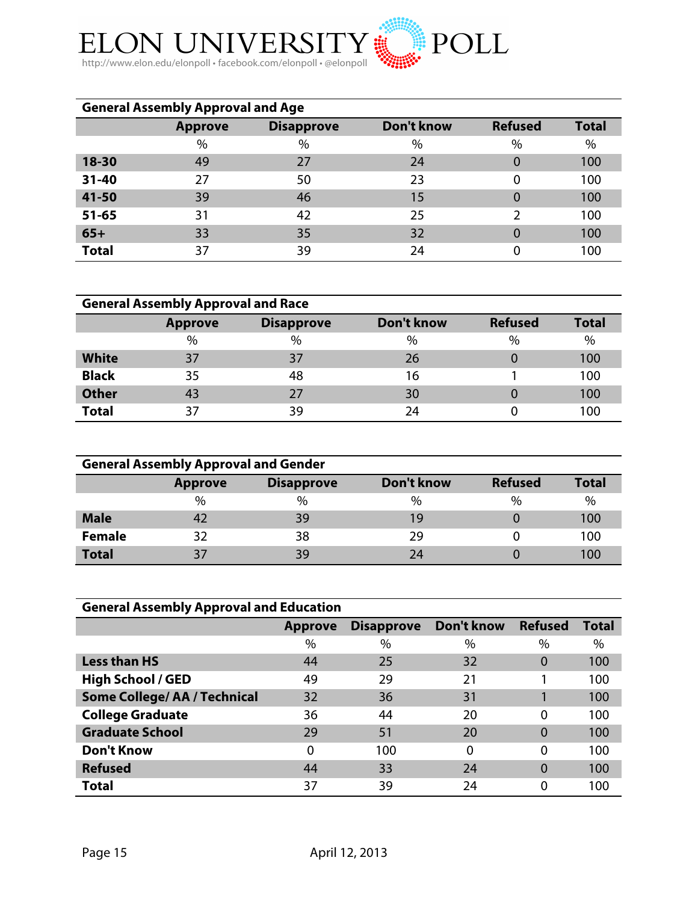

| <b>General Assembly Approval and Age</b> |                |                   |            |                |              |  |  |  |  |
|------------------------------------------|----------------|-------------------|------------|----------------|--------------|--|--|--|--|
|                                          | <b>Approve</b> | <b>Disapprove</b> | Don't know | <b>Refused</b> | <b>Total</b> |  |  |  |  |
|                                          | $\%$           | $\%$              | $\%$       | $\%$           | $\%$         |  |  |  |  |
| 18-30                                    | 49             | 27                | 24         | 0              | 100          |  |  |  |  |
| 31-40                                    | 27             | 50                | 23         | 0              | 100          |  |  |  |  |
| 41-50                                    | 39             | 46                | 15         | $\overline{0}$ | 100          |  |  |  |  |
| $51 - 65$                                | 31             | 42                | 25         | 2              | 100          |  |  |  |  |
| $65+$                                    | 33             | 35                | 32         | 0              | 100          |  |  |  |  |
| <b>Total</b>                             | 37             | 39                | 24         |                | 100          |  |  |  |  |

| <b>General Assembly Approval and Race</b> |                |                   |            |                |              |  |  |
|-------------------------------------------|----------------|-------------------|------------|----------------|--------------|--|--|
|                                           | <b>Approve</b> | <b>Disapprove</b> | Don't know | <b>Refused</b> | <b>Total</b> |  |  |
|                                           | $\%$           | $\%$              | $\%$       | $\%$           | $\%$         |  |  |
| <b>White</b>                              | 37             | 37                | 26         |                | 100          |  |  |
| <b>Black</b>                              | 35             | 48                | 16         |                | 100          |  |  |
| <b>Other</b>                              | 43             | 27                | 30         |                | 100          |  |  |
| <b>Total</b>                              | 37             | 39                | 24         |                | 100          |  |  |

| <b>General Assembly Approval and Gender</b> |                |                   |            |                |              |  |  |  |
|---------------------------------------------|----------------|-------------------|------------|----------------|--------------|--|--|--|
|                                             | <b>Approve</b> | <b>Disapprove</b> | Don't know | <b>Refused</b> | <b>Total</b> |  |  |  |
|                                             | $\frac{0}{0}$  | $\frac{0}{0}$     | $\%$       | $\frac{0}{0}$  | $\%$         |  |  |  |
| <b>Male</b>                                 |                | 39                | 19         |                | 100          |  |  |  |
| <b>Female</b>                               | 32             | 38                | 29         |                | 100          |  |  |  |
| <b>Total</b>                                | 37             | 39                | 24         |                | 100          |  |  |  |

| <b>General Assembly Approval and Education</b> |                |                   |            |                |              |  |  |  |  |
|------------------------------------------------|----------------|-------------------|------------|----------------|--------------|--|--|--|--|
|                                                | <b>Approve</b> | <b>Disapprove</b> | Don't know | <b>Refused</b> | <b>Total</b> |  |  |  |  |
|                                                | $\%$           | $\%$              | $\%$       | $\%$           | $\%$         |  |  |  |  |
| <b>Less than HS</b>                            | 44             | 25                | 32         | $\Omega$       | 100          |  |  |  |  |
| <b>High School / GED</b>                       | 49             | 29                | 21         |                | 100          |  |  |  |  |
| <b>Some College/ AA / Technical</b>            | 32             | 36                | 31         |                | 100          |  |  |  |  |
| <b>College Graduate</b>                        | 36             | 44                | 20         | $\Omega$       | 100          |  |  |  |  |
| <b>Graduate School</b>                         | 29             | 51                | 20         | $\Omega$       | 100          |  |  |  |  |
| <b>Don't Know</b>                              | $\Omega$       | 100               | $\Omega$   | 0              | 100          |  |  |  |  |
| <b>Refused</b>                                 | 44             | 33                | 24         | $\Omega$       | 100          |  |  |  |  |
| <b>Total</b>                                   | 37             | 39                | 24         | $\Omega$       | 100          |  |  |  |  |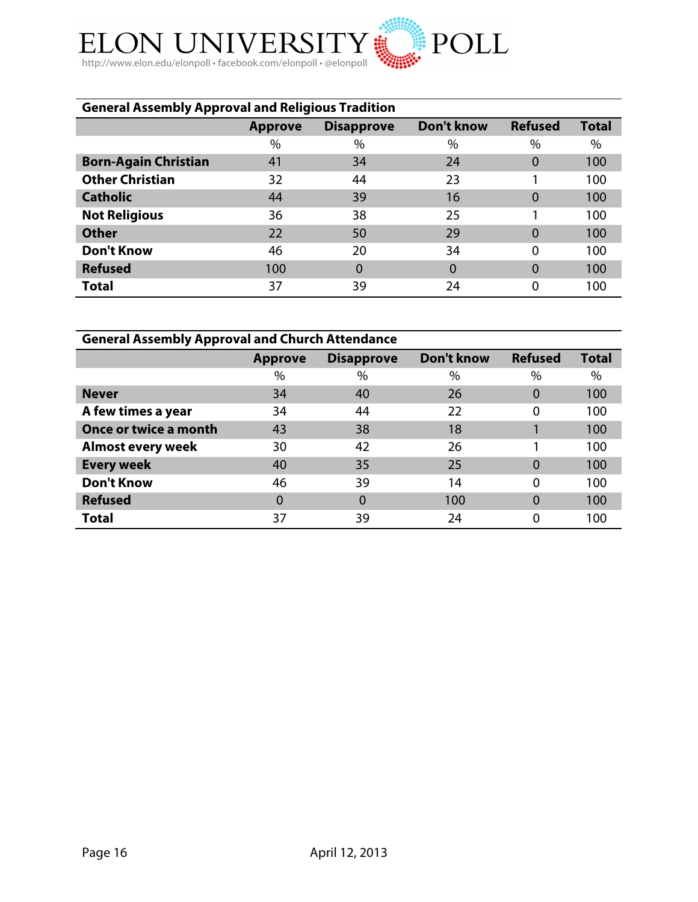

| <b>General Assembly Approval and Religious Tradition</b> |                |                   |                   |                |              |  |  |  |  |
|----------------------------------------------------------|----------------|-------------------|-------------------|----------------|--------------|--|--|--|--|
|                                                          | <b>Approve</b> | <b>Disapprove</b> | <b>Don't know</b> | <b>Refused</b> | <b>Total</b> |  |  |  |  |
|                                                          | $\%$           | $\%$              | $\%$              | %              | %            |  |  |  |  |
| <b>Born-Again Christian</b>                              | 41             | 34                | 24                | $\overline{0}$ | 100          |  |  |  |  |
| <b>Other Christian</b>                                   | 32             | 44                | 23                |                | 100          |  |  |  |  |
| <b>Catholic</b>                                          | 44             | 39                | 16                | 0              | 100          |  |  |  |  |
| <b>Not Religious</b>                                     | 36             | 38                | 25                |                | 100          |  |  |  |  |
| <b>Other</b>                                             | 22             | 50                | 29                | 0              | 100          |  |  |  |  |
| <b>Don't Know</b>                                        | 46             | 20                | 34                | $\Omega$       | 100          |  |  |  |  |
| <b>Refused</b>                                           | 100            | $\Omega$          | 0                 | 0              | 100          |  |  |  |  |
| <b>Total</b>                                             | 37             | 39                | 24                | 0              | 100          |  |  |  |  |

| <b>General Assembly Approval and Church Attendance</b> |                |                   |                   |                |              |  |  |  |  |
|--------------------------------------------------------|----------------|-------------------|-------------------|----------------|--------------|--|--|--|--|
|                                                        | <b>Approve</b> | <b>Disapprove</b> | <b>Don't know</b> | <b>Refused</b> | <b>Total</b> |  |  |  |  |
|                                                        | $\%$           | $\%$              | $\%$              | $\%$           | $\%$         |  |  |  |  |
| <b>Never</b>                                           | 34             | 40                | 26                |                | 100          |  |  |  |  |
| A few times a year                                     | 34             | 44                | 22                | $\Omega$       | 100          |  |  |  |  |
| <b>Once or twice a month</b>                           | 43             | 38                | 18                |                | 100          |  |  |  |  |
| <b>Almost every week</b>                               | 30             | 42                | 26                |                | 100          |  |  |  |  |
| <b>Every week</b>                                      | 40             | 35                | 25                | $\Omega$       | 100          |  |  |  |  |
| <b>Don't Know</b>                                      | 46             | 39                | 14                | $\Omega$       | 100          |  |  |  |  |
| <b>Refused</b>                                         | 0              | 0                 | 100               |                | 100          |  |  |  |  |
| <b>Total</b>                                           | 37             | 39                | 24                |                | 100          |  |  |  |  |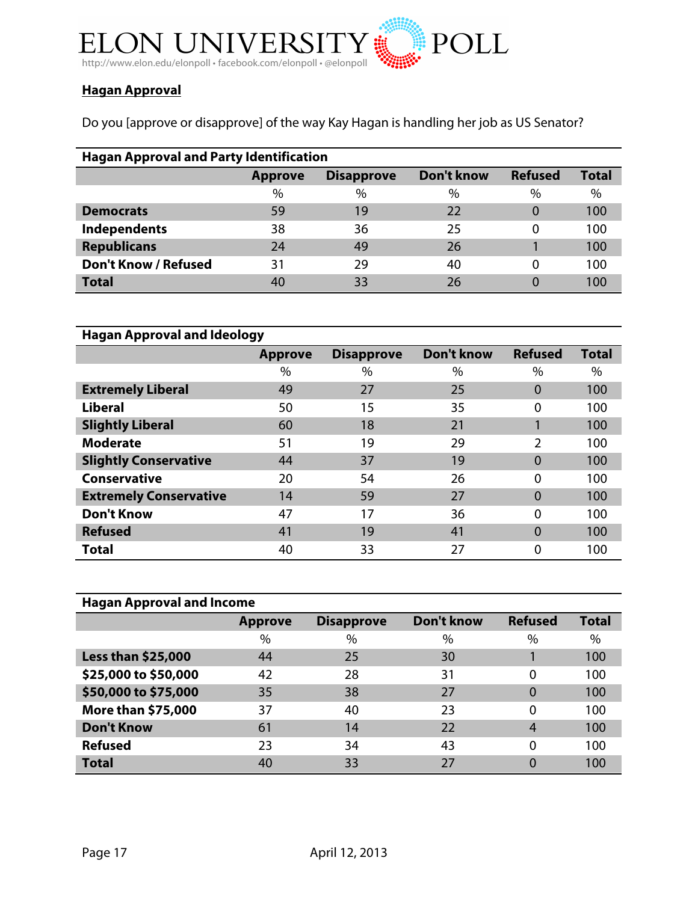

# **Hagan Approval**

Do you [approve or disapprove] of the way Kay Hagan is handling her job as US Senator?

| <b>Hagan Approval and Party Identification</b> |                |                   |            |                |              |  |  |  |  |
|------------------------------------------------|----------------|-------------------|------------|----------------|--------------|--|--|--|--|
|                                                | <b>Approve</b> | <b>Disapprove</b> | Don't know | <b>Refused</b> | <b>Total</b> |  |  |  |  |
|                                                | $\%$           | $\%$              | $\%$       | $\%$           | $\%$         |  |  |  |  |
| <b>Democrats</b>                               | 59             | 19                | 22         |                | 100          |  |  |  |  |
| Independents                                   | 38             | 36                | 25         | Ω              | 100          |  |  |  |  |
| <b>Republicans</b>                             | 24             | 49                | 26         |                | 100          |  |  |  |  |
| <b>Don't Know / Refused</b>                    | 31             | 29                | 40         | 0              | 100          |  |  |  |  |
| <b>Total</b>                                   | 40             | 33                | 26         |                | 100          |  |  |  |  |

| <b>Hagan Approval and Ideology</b> |                |                   |                   |                |              |  |  |  |  |
|------------------------------------|----------------|-------------------|-------------------|----------------|--------------|--|--|--|--|
|                                    | <b>Approve</b> | <b>Disapprove</b> | <b>Don't know</b> | <b>Refused</b> | <b>Total</b> |  |  |  |  |
|                                    | $\%$           | $\%$              | $\%$              | $\%$           | $\%$         |  |  |  |  |
| <b>Extremely Liberal</b>           | 49             | 27                | 25                | $\Omega$       | 100          |  |  |  |  |
| <b>Liberal</b>                     | 50             | 15                | 35                | 0              | 100          |  |  |  |  |
| <b>Slightly Liberal</b>            | 60             | 18                | 21                |                | 100          |  |  |  |  |
| <b>Moderate</b>                    | 51             | 19                | 29                | 2              | 100          |  |  |  |  |
| <b>Slightly Conservative</b>       | 44             | 37                | 19                | $\Omega$       | 100          |  |  |  |  |
| <b>Conservative</b>                | 20             | 54                | 26                | $\Omega$       | 100          |  |  |  |  |
| <b>Extremely Conservative</b>      | 14             | 59                | 27                | $\Omega$       | 100          |  |  |  |  |
| <b>Don't Know</b>                  | 47             | 17                | 36                | $\Omega$       | 100          |  |  |  |  |
| <b>Refused</b>                     | 41             | 19                | 41                | $\Omega$       | 100          |  |  |  |  |
| Total                              | 40             | 33                | 27                | 0              | 100          |  |  |  |  |

| <b>Hagan Approval and Income</b> |                |                   |                   |                |              |  |  |  |
|----------------------------------|----------------|-------------------|-------------------|----------------|--------------|--|--|--|
|                                  | <b>Approve</b> | <b>Disapprove</b> | <b>Don't know</b> | <b>Refused</b> | <b>Total</b> |  |  |  |
|                                  | $\%$           | $\%$              | $\%$              | $\%$           | $\%$         |  |  |  |
| Less than \$25,000               | 44             | 25                | 30                |                | 100          |  |  |  |
| \$25,000 to \$50,000             | 42             | 28                | 31                | 0              | 100          |  |  |  |
| \$50,000 to \$75,000             | 35             | 38                | 27                | 0              | 100          |  |  |  |
| More than \$75,000               | 37             | 40                | 23                | 0              | 100          |  |  |  |
| <b>Don't Know</b>                | 61             | 14                | 22                | 4              | 100          |  |  |  |
| <b>Refused</b>                   | 23             | 34                | 43                | 0              | 100          |  |  |  |
| <b>Total</b>                     | 40             | 33                | 27                |                | 100          |  |  |  |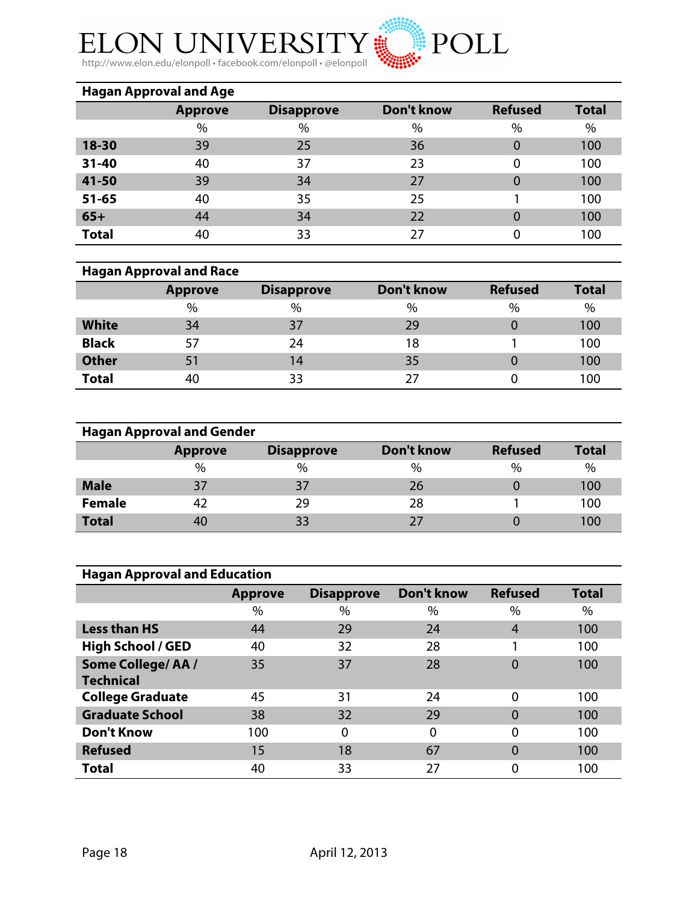

http://www.elon.edu/elonpoll • facebook.com/elonpoll • @elonpoll

| <b>Hagan Approval and Age</b> |                |                   |                   |                |              |  |  |  |
|-------------------------------|----------------|-------------------|-------------------|----------------|--------------|--|--|--|
|                               | <b>Approve</b> | <b>Disapprove</b> | <b>Don't know</b> | <b>Refused</b> | <b>Total</b> |  |  |  |
|                               | $\%$           | $\%$              | $\%$              | $\%$           | $\%$         |  |  |  |
| 18-30                         | 39             | 25                | 36                | 0              | 100          |  |  |  |
| $31 - 40$                     | 40             | 37                | 23                | 0              | 100          |  |  |  |
| 41-50                         | 39             | 34                | 27                | $\overline{0}$ | 100          |  |  |  |
| $51 - 65$                     | 40             | 35                | 25                |                | 100          |  |  |  |
| $65+$                         | 44             | 34                | 22                | 0              | 100          |  |  |  |
| <b>Total</b>                  | 40             | 33                | 27                | 0              | 100          |  |  |  |

# **Hagan Approval and Race**

|              | <b>Approve</b> | <b>Disapprove</b> | Don't know | <b>Refused</b> | <b>Total</b> |
|--------------|----------------|-------------------|------------|----------------|--------------|
|              | %              | $\%$              | $\%$       | $\%$           | %            |
| <b>White</b> | 34             | 37                | 29         |                | 100          |
| <b>Black</b> | 57             | 24                | 18         |                | 100          |
| <b>Other</b> | 51             | 14                | 35         |                | 100          |
| <b>Total</b> | 40             | 33                | 77         |                | 100          |

|               | <b>Hagan Approval and Gender</b> |                   |            |                |              |
|---------------|----------------------------------|-------------------|------------|----------------|--------------|
|               | <b>Approve</b>                   | <b>Disapprove</b> | Don't know | <b>Refused</b> | <b>Total</b> |
|               | $\%$                             | $\%$              | $\%$       | $\%$           | $\%$         |
| <b>Male</b>   | 37                               | 37                | 26         |                | 100          |
| <b>Female</b> | 42                               | 29                | 28         |                | 100          |
| <b>Total</b>  | 40                               | 33                | 27         |                | 100          |

| <b>Hagan Approval and Education</b> |                |                   |                   |                |              |  |  |  |
|-------------------------------------|----------------|-------------------|-------------------|----------------|--------------|--|--|--|
|                                     | <b>Approve</b> | <b>Disapprove</b> | <b>Don't know</b> | <b>Refused</b> | <b>Total</b> |  |  |  |
|                                     | $\%$           | $\%$              | $\%$              | %              | $\%$         |  |  |  |
| <b>Less than HS</b>                 | 44             | 29                | 24                | 4              | 100          |  |  |  |
| <b>High School / GED</b>            | 40             | 32                | 28                |                | 100          |  |  |  |
| <b>Some College/AA/</b>             | 35             | 37                | 28                | 0              | 100          |  |  |  |
| <b>Technical</b>                    |                |                   |                   |                |              |  |  |  |
| <b>College Graduate</b>             | 45             | 31                | 24                | $\Omega$       | 100          |  |  |  |
| <b>Graduate School</b>              | 38             | 32                | 29                | $\overline{0}$ | 100          |  |  |  |
| <b>Don't Know</b>                   | 100            | 0                 | 0                 | $\Omega$       | 100          |  |  |  |
| <b>Refused</b>                      | 15             | 18                | 67                | 0              | 100          |  |  |  |
| <b>Total</b>                        | 40             | 33                | 27                | 0              | 100          |  |  |  |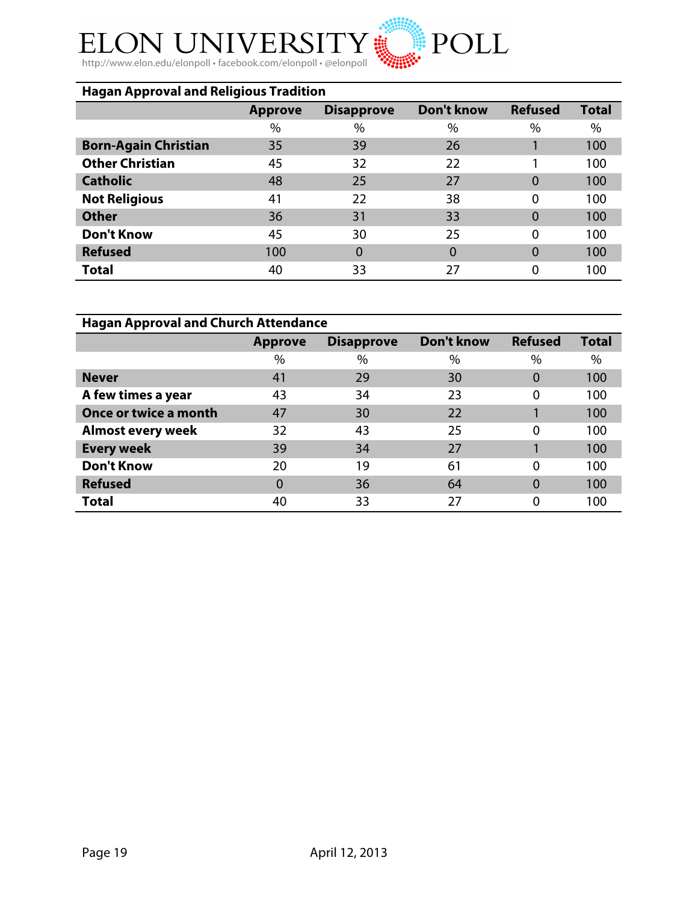#### $\rm Y$  a  $\hat{}$ ELON UN **JIVER**

http://www.elon.edu/elonpoll • facebook.com/elonpoll • @elonpoll

| <b>Hagan Approval and Religious Tradition</b> |                |                   |                   |                |              |
|-----------------------------------------------|----------------|-------------------|-------------------|----------------|--------------|
|                                               | <b>Approve</b> | <b>Disapprove</b> | <b>Don't know</b> | <b>Refused</b> | <b>Total</b> |
|                                               | %              | %                 | $\%$              | $\%$           | %            |
| <b>Born-Again Christian</b>                   | 35             | 39                | 26                |                | 100          |
| <b>Other Christian</b>                        | 45             | 32                | 22                |                | 100          |
| <b>Catholic</b>                               | 48             | 25                | 27                | $\Omega$       | 100          |
| <b>Not Religious</b>                          | 41             | 22                | 38                | 0              | 100          |
| <b>Other</b>                                  | 36             | 31                | 33                | $\Omega$       | 100          |
| <b>Don't Know</b>                             | 45             | 30                | 25                | 0              | 100          |
| <b>Refused</b>                                | 100            | $\overline{0}$    | 0                 | $\Omega$       | 100          |
| <b>Total</b>                                  | 40             | 33                | 27                | 0              | 100          |

POLL<sup>\*</sup>

| <b>Hagan Approval and Church Attendance</b> |                |                   |            |                |              |
|---------------------------------------------|----------------|-------------------|------------|----------------|--------------|
|                                             | <b>Approve</b> | <b>Disapprove</b> | Don't know | <b>Refused</b> | <b>Total</b> |
|                                             | %              | $\%$              | $\%$       | $\%$           | $\%$         |
| <b>Never</b>                                | 41             | 29                | 30         | $\Omega$       | 100          |
| A few times a year                          | 43             | 34                | 23         | $\Omega$       | 100          |
| <b>Once or twice a month</b>                | 47             | 30                | 22         |                | 100          |
| <b>Almost every week</b>                    | 32             | 43                | 25         | $\Omega$       | 100          |
| <b>Every week</b>                           | 39             | 34                | 27         |                | 100          |
| <b>Don't Know</b>                           | 20             | 19                | 61         | $\Omega$       | 100          |
| <b>Refused</b>                              | $\Omega$       | 36                | 64         | $\Omega$       | 100          |
| <b>Total</b>                                | 40             | 33                | 27         | 0              | 100          |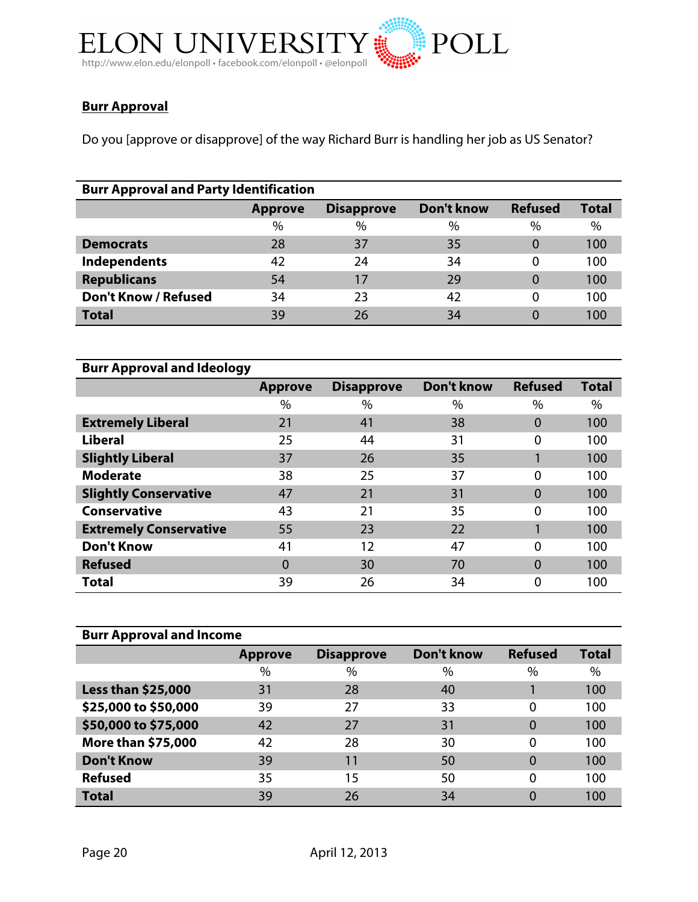

# **Burr Approval**

Do you [approve or disapprove] of the way Richard Burr is handling her job as US Senator?

| <b>Burr Approval and Party Identification</b> |                |                   |            |                |              |
|-----------------------------------------------|----------------|-------------------|------------|----------------|--------------|
|                                               | <b>Approve</b> | <b>Disapprove</b> | Don't know | <b>Refused</b> | <b>Total</b> |
|                                               | $\%$           | $\%$              | $\%$       | $\%$           | $\%$         |
| <b>Democrats</b>                              | 28             | 37                | 35         | 0              | 100          |
| Independents                                  | 42             | 24                | 34         |                | 100          |
| <b>Republicans</b>                            | 54             | 17                | 29         | $\Omega$       | 100          |
| <b>Don't Know / Refused</b>                   | 34             | 23                | 42         |                | 100          |
| <b>Total</b>                                  | 39             | 26                | 34         |                | 100          |

| <b>Burr Approval and Ideology</b> |                |                   |                   |                |              |
|-----------------------------------|----------------|-------------------|-------------------|----------------|--------------|
|                                   | <b>Approve</b> | <b>Disapprove</b> | <b>Don't know</b> | <b>Refused</b> | <b>Total</b> |
|                                   | %              | $\%$              | $\%$              | $\%$           | $\%$         |
| <b>Extremely Liberal</b>          | 21             | 41                | 38                | $\Omega$       | 100          |
| <b>Liberal</b>                    | 25             | 44                | 31                | 0              | 100          |
| <b>Slightly Liberal</b>           | 37             | 26                | 35                |                | 100          |
| <b>Moderate</b>                   | 38             | 25                | 37                | $\Omega$       | 100          |
| <b>Slightly Conservative</b>      | 47             | 21                | 31                | $\Omega$       | 100          |
| <b>Conservative</b>               | 43             | 21                | 35                | 0              | 100          |
| <b>Extremely Conservative</b>     | 55             | 23                | 22                |                | 100          |
| <b>Don't Know</b>                 | 41             | 12                | 47                | $\Omega$       | 100          |
| <b>Refused</b>                    | 0              | 30                | 70                | 0              | 100          |
| <b>Total</b>                      | 39             | 26                | 34                | 0              | 100          |

| <b>Burr Approval and Income</b> |                |                   |            |                |              |
|---------------------------------|----------------|-------------------|------------|----------------|--------------|
|                                 | <b>Approve</b> | <b>Disapprove</b> | Don't know | <b>Refused</b> | <b>Total</b> |
|                                 | $\%$           | $\%$              | $\%$       | $\%$           | $\%$         |
| <b>Less than \$25,000</b>       | 31             | 28                | 40         |                | 100          |
| \$25,000 to \$50,000            | 39             | 27                | 33         | 0              | 100          |
| \$50,000 to \$75,000            | 42             | 27                | 31         | 0              | 100          |
| <b>More than \$75,000</b>       | 42             | 28                | 30         | $\Omega$       | 100          |
| <b>Don't Know</b>               | 39             | 11                | 50         | 0              | 100          |
| <b>Refused</b>                  | 35             | 15                | 50         | $\Omega$       | 100          |
| <b>Total</b>                    | 39             | 26                | 34         | 0              | 100          |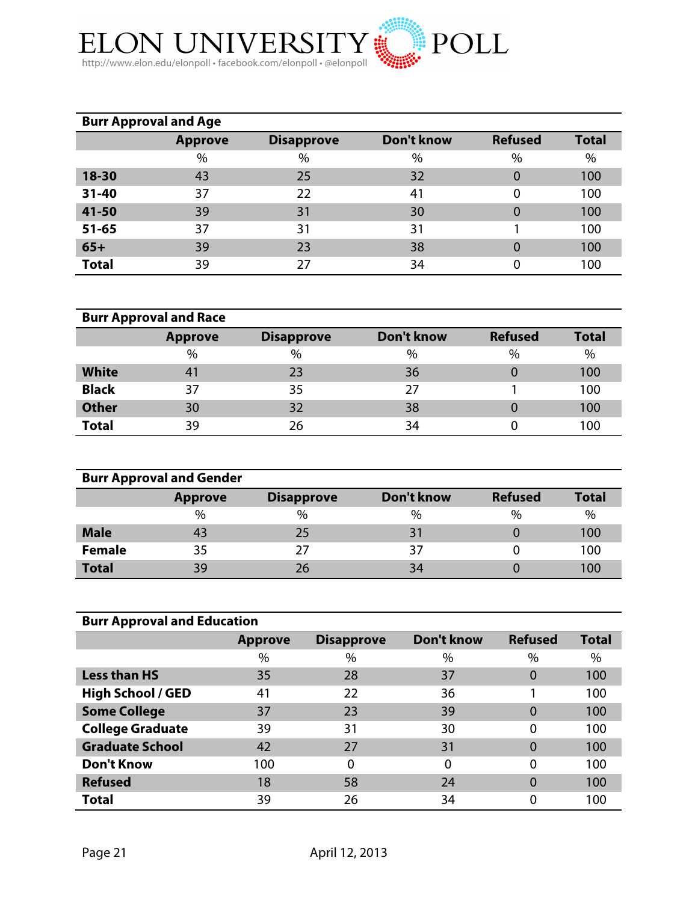

|              | <b>Burr Approval and Age</b> |                   |            |                |              |
|--------------|------------------------------|-------------------|------------|----------------|--------------|
|              | <b>Approve</b>               | <b>Disapprove</b> | Don't know | <b>Refused</b> | <b>Total</b> |
|              | $\%$                         | $\%$              | $\%$       | $\%$           | %            |
| 18-30        | 43                           | 25                | 32         | 0              | 100          |
| $31 - 40$    | 37                           | 22                | 41         | 0              | 100          |
| 41-50        | 39                           | 31                | 30         | 0              | 100          |
| $51 - 65$    | 37                           | 31                | 31         |                | 100          |
| $65+$        | 39                           | 23                | 38         | 0              | 100          |
| <b>Total</b> | 39                           | 27                | 34         | 0              | 100          |

|              | <b>Burr Approval and Race</b> |                   |            |                |              |
|--------------|-------------------------------|-------------------|------------|----------------|--------------|
|              | <b>Approve</b>                | <b>Disapprove</b> | Don't know | <b>Refused</b> | <b>Total</b> |
|              | $\%$                          | $\%$              | $\%$       | %              | $\%$         |
| <b>White</b> | 41                            | 23                | 36         |                | 100          |
| <b>Black</b> | 37                            | 35                | 27         |                | 100          |
| <b>Other</b> | 30                            | 32                | 38         |                | 100          |
| <b>Total</b> | 39                            | 26                | 34         |                | 100          |

|               | <b>Burr Approval and Gender</b> |                   |                   |                |              |
|---------------|---------------------------------|-------------------|-------------------|----------------|--------------|
|               | <b>Approve</b>                  | <b>Disapprove</b> | <b>Don't know</b> | <b>Refused</b> | <b>Total</b> |
|               | $\%$                            | $\%$              | $\%$              | $\%$           | %            |
| <b>Male</b>   | 43                              | 25                | 31                |                | 100          |
| <b>Female</b> | 35                              | 27                | 37                |                | 100          |
| <b>Total</b>  | 39                              | 26                | 34                |                | 100          |

| <b>Burr Approval and Education</b> |                |                   |                   |                |              |  |
|------------------------------------|----------------|-------------------|-------------------|----------------|--------------|--|
|                                    | <b>Approve</b> | <b>Disapprove</b> | <b>Don't know</b> | <b>Refused</b> | <b>Total</b> |  |
|                                    | %              | $\%$              | $\%$              | $\%$           | $\%$         |  |
| <b>Less than HS</b>                | 35             | 28                | 37                | 0              | 100          |  |
| <b>High School / GED</b>           | 41             | 22                | 36                |                | 100          |  |
| <b>Some College</b>                | 37             | 23                | 39                | 0              | 100          |  |
| <b>College Graduate</b>            | 39             | 31                | 30                |                | 100          |  |
| <b>Graduate School</b>             | 42             | 27                | 31                | 0              | 100          |  |
| <b>Don't Know</b>                  | 100            | 0                 | $\Omega$          | $\Omega$       | 100          |  |
| <b>Refused</b>                     | 18             | 58                | 24                | 0              | 100          |  |
| <b>Total</b>                       | 39             | 26                | 34                |                | 100          |  |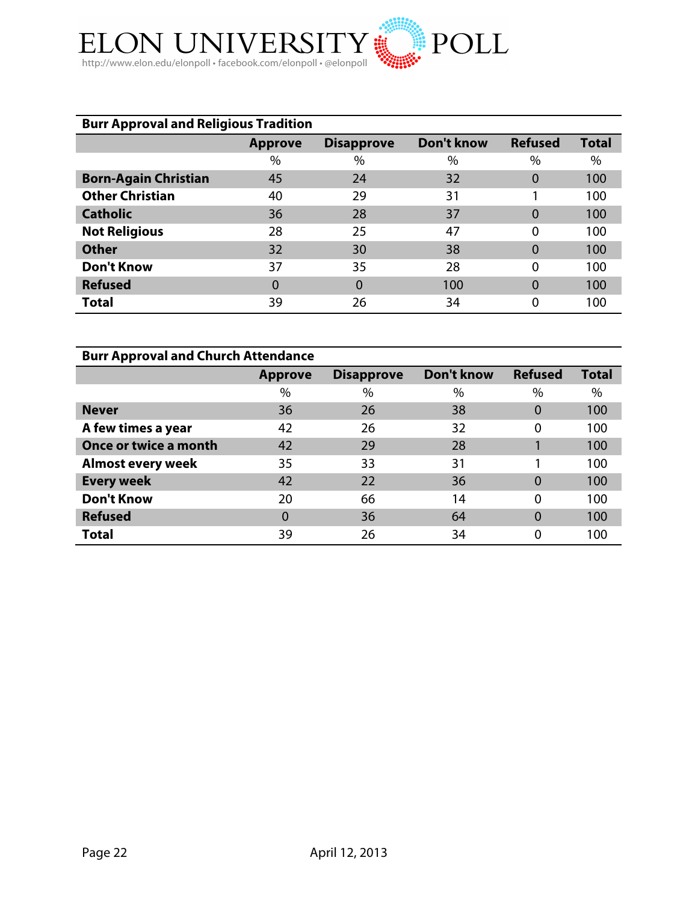

| <b>Burr Approval and Religious Tradition</b> |                |                   |            |                |              |
|----------------------------------------------|----------------|-------------------|------------|----------------|--------------|
|                                              | <b>Approve</b> | <b>Disapprove</b> | Don't know | <b>Refused</b> | <b>Total</b> |
|                                              | $\%$           | $\%$              | $\%$       | $\%$           | $\%$         |
| <b>Born-Again Christian</b>                  | 45             | 24                | 32         | 0              | 100          |
| <b>Other Christian</b>                       | 40             | 29                | 31         |                | 100          |
| <b>Catholic</b>                              | 36             | 28                | 37         | $\Omega$       | 100          |
| <b>Not Religious</b>                         | 28             | 25                | 47         | 0              | 100          |
| <b>Other</b>                                 | 32             | 30                | 38         | 0              | 100          |
| <b>Don't Know</b>                            | 37             | 35                | 28         | 0              | 100          |
| <b>Refused</b>                               | 0              | $\Omega$          | 100        | 0              | 100          |
| Total                                        | 39             | 26                | 34         | 0              | 100          |

| <b>Burr Approval and Church Attendance</b> |                |                   |            |                |              |
|--------------------------------------------|----------------|-------------------|------------|----------------|--------------|
|                                            | <b>Approve</b> | <b>Disapprove</b> | Don't know | <b>Refused</b> | <b>Total</b> |
|                                            | $\%$           | $\%$              | $\%$       | %              | $\%$         |
| <b>Never</b>                               | 36             | 26                | 38         | $\Omega$       | 100          |
| A few times a year                         | 42             | 26                | 32         | 0              | 100          |
| Once or twice a month                      | 42             | 29                | 28         |                | 100          |
| <b>Almost every week</b>                   | 35             | 33                | 31         |                | 100          |
| <b>Every week</b>                          | 42             | 22                | 36         | $\Omega$       | 100          |
| <b>Don't Know</b>                          | 20             | 66                | 14         | 0              | 100          |
| <b>Refused</b>                             | 0              | 36                | 64         | $\Omega$       | 100          |
| Total                                      | 39             | 26                | 34         | 0              | 100          |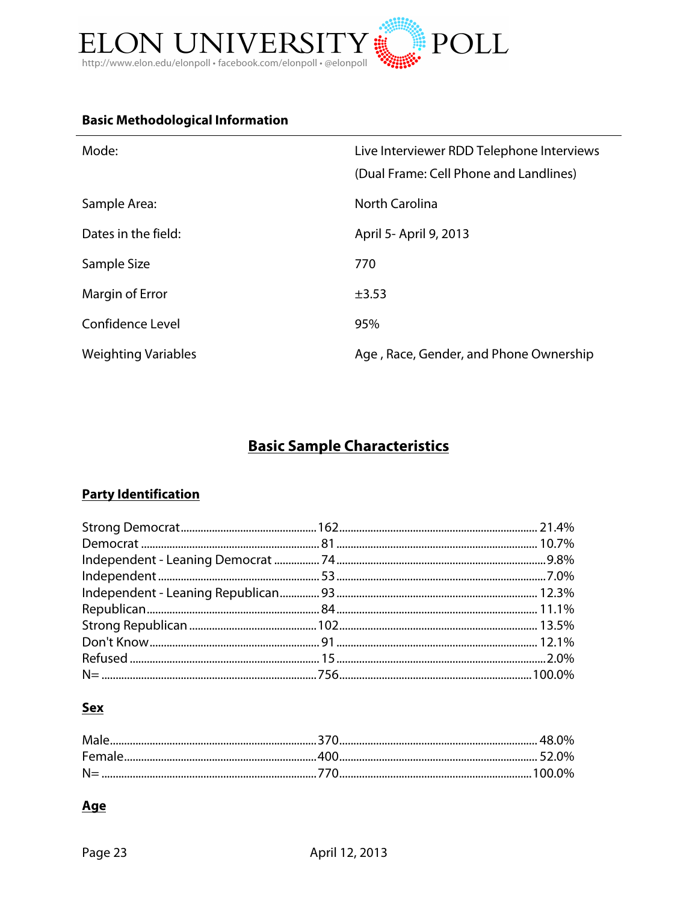

# **Basic Methodological Information**

| Mode:                      | Live Interviewer RDD Telephone Interviews<br>(Dual Frame: Cell Phone and Landlines) |
|----------------------------|-------------------------------------------------------------------------------------|
| Sample Area:               | North Carolina                                                                      |
| Dates in the field:        | April 5- April 9, 2013                                                              |
| Sample Size                | 770                                                                                 |
| Margin of Error            | $\pm$ 3.53                                                                          |
| Confidence Level           | 95%                                                                                 |
| <b>Weighting Variables</b> | Age, Race, Gender, and Phone Ownership                                              |

# **Basic Sample Characteristics**

# **Party Identification**

### **Sex**

### **Age**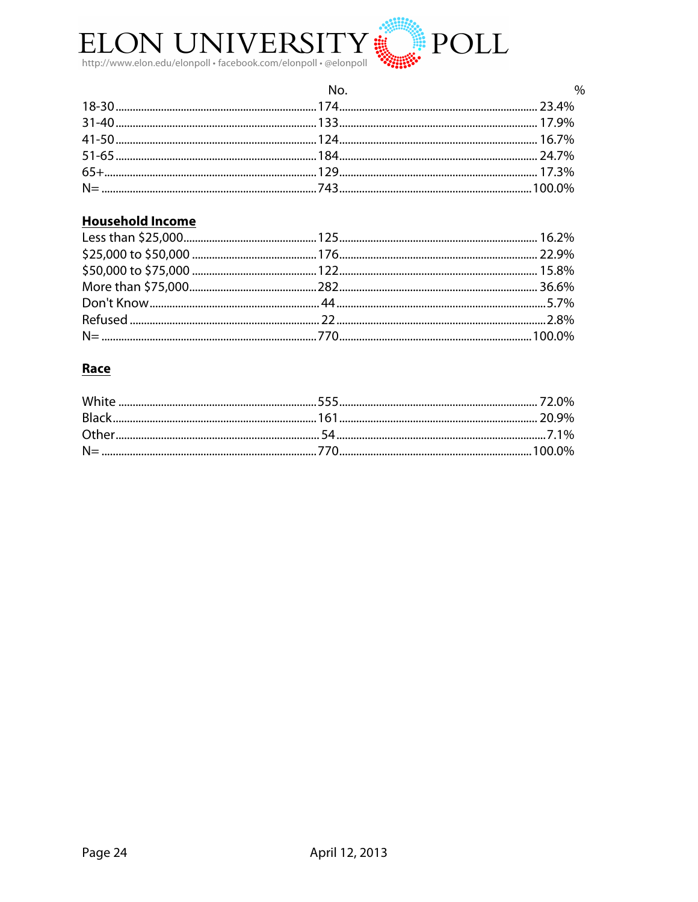

| No. | $\%$ |
|-----|------|
|     |      |
|     |      |
|     |      |
|     |      |
|     |      |
|     |      |

# **Household Income**

# Race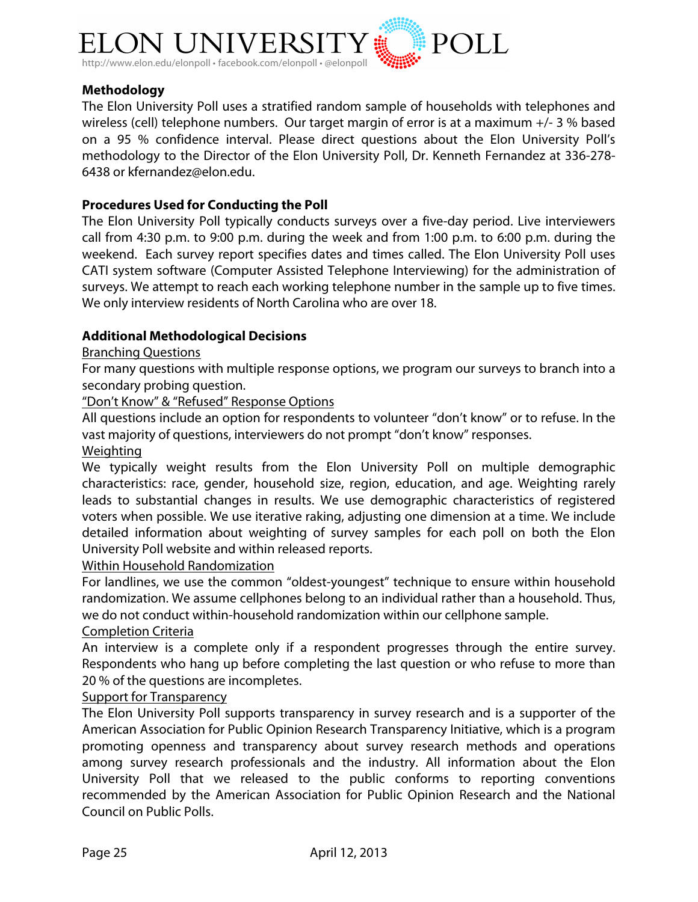

### **Methodology**

The Elon University Poll uses a stratified random sample of households with telephones and wireless (cell) telephone numbers. Our target margin of error is at a maximum +/- 3 % based on a 95 % confidence interval. Please direct questions about the Elon University Poll's methodology to the Director of the Elon University Poll, Dr. Kenneth Fernandez at 336-278- 6438 or kfernandez@elon.edu.

### **Procedures Used for Conducting the Poll**

The Elon University Poll typically conducts surveys over a five-day period. Live interviewers call from 4:30 p.m. to 9:00 p.m. during the week and from 1:00 p.m. to 6:00 p.m. during the weekend. Each survey report specifies dates and times called. The Elon University Poll uses CATI system software (Computer Assisted Telephone Interviewing) for the administration of surveys. We attempt to reach each working telephone number in the sample up to five times. We only interview residents of North Carolina who are over 18.

### **Additional Methodological Decisions**

### Branching Questions

For many questions with multiple response options, we program our surveys to branch into a secondary probing question.

"Don't Know" & "Refused" Response Options

All questions include an option for respondents to volunteer "don't know" or to refuse. In the vast majority of questions, interviewers do not prompt "don't know" responses.

#### Weighting

We typically weight results from the Elon University Poll on multiple demographic characteristics: race, gender, household size, region, education, and age. Weighting rarely leads to substantial changes in results. We use demographic characteristics of registered voters when possible. We use iterative raking, adjusting one dimension at a time. We include detailed information about weighting of survey samples for each poll on both the Elon University Poll website and within released reports.

### Within Household Randomization

For landlines, we use the common "oldest-youngest" technique to ensure within household randomization. We assume cellphones belong to an individual rather than a household. Thus, we do not conduct within-household randomization within our cellphone sample.

### Completion Criteria

An interview is a complete only if a respondent progresses through the entire survey. Respondents who hang up before completing the last question or who refuse to more than 20 % of the questions are incompletes.

### Support for Transparency

The Elon University Poll supports transparency in survey research and is a supporter of the American Association for Public Opinion Research Transparency Initiative, which is a program promoting openness and transparency about survey research methods and operations among survey research professionals and the industry. All information about the Elon University Poll that we released to the public conforms to reporting conventions recommended by the American Association for Public Opinion Research and the National Council on Public Polls.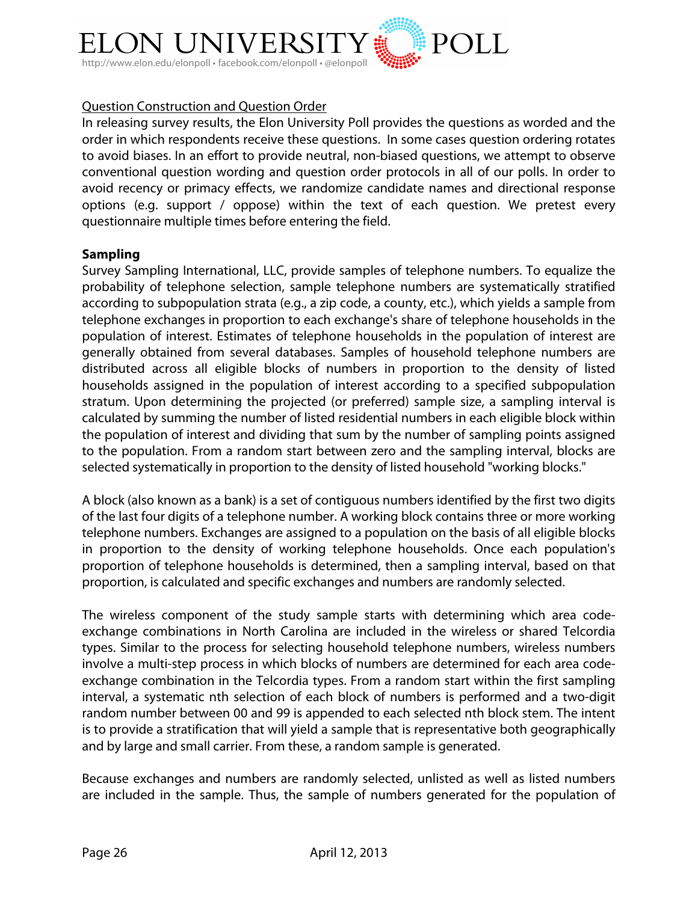

# Question Construction and Question Order

In releasing survey results, the Elon University Poll provides the questions as worded and the order in which respondents receive these questions. In some cases question ordering rotates to avoid biases. In an effort to provide neutral, non-biased questions, we attempt to observe conventional question wording and question order protocols in all of our polls. In order to avoid recency or primacy effects, we randomize candidate names and directional response options (e.g. support / oppose) within the text of each question. We pretest every questionnaire multiple times before entering the field.

### **Sampling**

Survey Sampling International, LLC, provide samples of telephone numbers. To equalize the probability of telephone selection, sample telephone numbers are systematically stratified according to subpopulation strata (e.g., a zip code, a county, etc.), which yields a sample from telephone exchanges in proportion to each exchange's share of telephone households in the population of interest. Estimates of telephone households in the population of interest are generally obtained from several databases. Samples of household telephone numbers are distributed across all eligible blocks of numbers in proportion to the density of listed households assigned in the population of interest according to a specified subpopulation stratum. Upon determining the projected (or preferred) sample size, a sampling interval is calculated by summing the number of listed residential numbers in each eligible block within the population of interest and dividing that sum by the number of sampling points assigned to the population. From a random start between zero and the sampling interval, blocks are selected systematically in proportion to the density of listed household "working blocks."

A block (also known as a bank) is a set of contiguous numbers identified by the first two digits of the last four digits of a telephone number. A working block contains three or more working telephone numbers. Exchanges are assigned to a population on the basis of all eligible blocks in proportion to the density of working telephone households. Once each population's proportion of telephone households is determined, then a sampling interval, based on that proportion, is calculated and specific exchanges and numbers are randomly selected.

The wireless component of the study sample starts with determining which area codeexchange combinations in North Carolina are included in the wireless or shared Telcordia types. Similar to the process for selecting household telephone numbers, wireless numbers involve a multi-step process in which blocks of numbers are determined for each area codeexchange combination in the Telcordia types. From a random start within the first sampling interval, a systematic nth selection of each block of numbers is performed and a two-digit random number between 00 and 99 is appended to each selected nth block stem. The intent is to provide a stratification that will yield a sample that is representative both geographically and by large and small carrier. From these, a random sample is generated.

Because exchanges and numbers are randomly selected, unlisted as well as listed numbers are included in the sample. Thus, the sample of numbers generated for the population of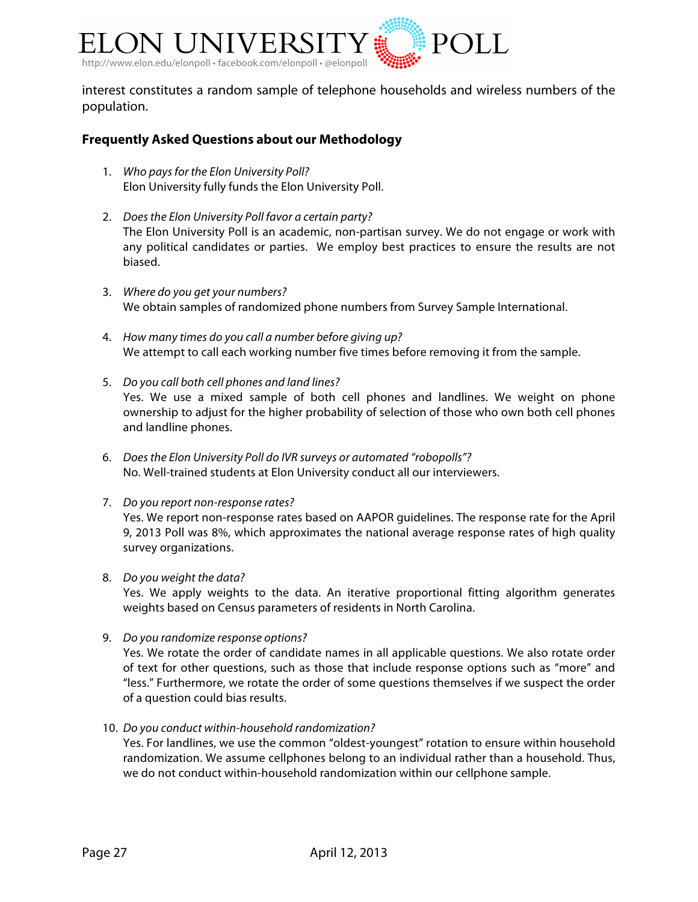

interest constitutes a random sample of telephone households and wireless numbers of the population.

### **Frequently Asked Questions about our Methodology**

- 1. *Who pays for the Elon University Poll?* Elon University fully funds the Elon University Poll.
- 2. *Does the Elon University Poll favor a certain party?* The Elon University Poll is an academic, non-partisan survey. We do not engage or work with any political candidates or parties. We employ best practices to ensure the results are not biased.
- 3. *Where do you get your numbers?* We obtain samples of randomized phone numbers from Survey Sample International.
- 4. *How many times do you call a number before giving up?* We attempt to call each working number five times before removing it from the sample.
- 5. *Do you call both cell phones and land lines?* Yes. We use a mixed sample of both cell phones and landlines. We weight on phone ownership to adjust for the higher probability of selection of those who own both cell phones and landline phones.
- 6. *Does the Elon University Poll do IVR surveys or automated "robopolls"?* No. Well-trained students at Elon University conduct all our interviewers.
- 7. *Do you report non-response rates?* Yes. We report non-response rates based on AAPOR guidelines. The response rate for the April 9, 2013 Poll was 8%, which approximates the national average response rates of high quality survey organizations.
- 8. *Do you weight the data?*

Yes. We apply weights to the data. An iterative proportional fitting algorithm generates weights based on Census parameters of residents in North Carolina.

9. *Do you randomize response options?*

Yes. We rotate the order of candidate names in all applicable questions. We also rotate order of text for other questions, such as those that include response options such as "more" and "less." Furthermore, we rotate the order of some questions themselves if we suspect the order of a question could bias results.

10. *Do you conduct within-household randomization?*

Yes. For landlines, we use the common "oldest-youngest" rotation to ensure within household randomization. We assume cellphones belong to an individual rather than a household. Thus, we do not conduct within-household randomization within our cellphone sample.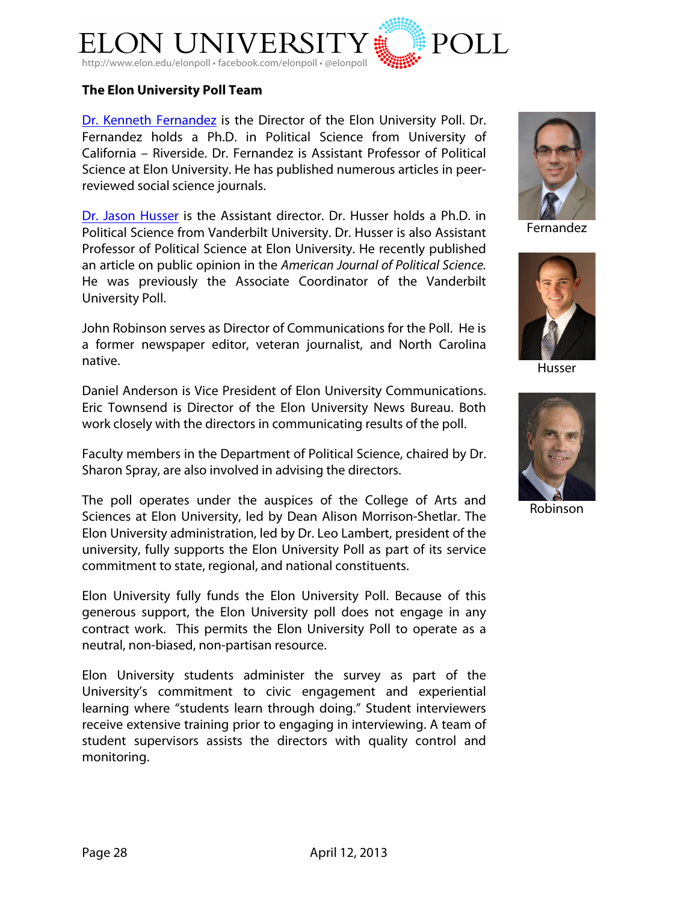

### **The Elon University Poll Team**

Dr. Kenneth Fernandez is the Director of the Elon University Poll. Dr. Fernandez holds a Ph.D. in Political Science from University of California – Riverside. Dr. Fernandez is Assistant Professor of Political Science at Elon University. He has published numerous articles in peerreviewed social science journals.

Dr. Jason Husser is the Assistant director. Dr. Husser holds a Ph.D. in Political Science from Vanderbilt University. Dr. Husser is also Assistant Professor of Political Science at Elon University. He recently published an article on public opinion in the *American Journal of Political Science.*  He was previously the Associate Coordinator of the Vanderbilt University Poll.

John Robinson serves as Director of Communications for the Poll. He is a former newspaper editor, veteran journalist, and North Carolina native.

Daniel Anderson is Vice President of Elon University Communications. Eric Townsend is Director of the Elon University News Bureau. Both work closely with the directors in communicating results of the poll.

Faculty members in the Department of Political Science, chaired by Dr. Sharon Spray, are also involved in advising the directors.

The poll operates under the auspices of the College of Arts and Sciences at Elon University, led by Dean Alison Morrison-Shetlar. The Elon University administration, led by Dr. Leo Lambert, president of the university, fully supports the Elon University Poll as part of its service commitment to state, regional, and national constituents.

Elon University fully funds the Elon University Poll. Because of this generous support, the Elon University poll does not engage in any contract work. This permits the Elon University Poll to operate as a neutral, non-biased, non-partisan resource.

Elon University students administer the survey as part of the University's commitment to civic engagement and experiential learning where "students learn through doing." Student interviewers receive extensive training prior to engaging in interviewing. A team of student supervisors assists the directors with quality control and monitoring.



Fernandez



Husser



Robinson